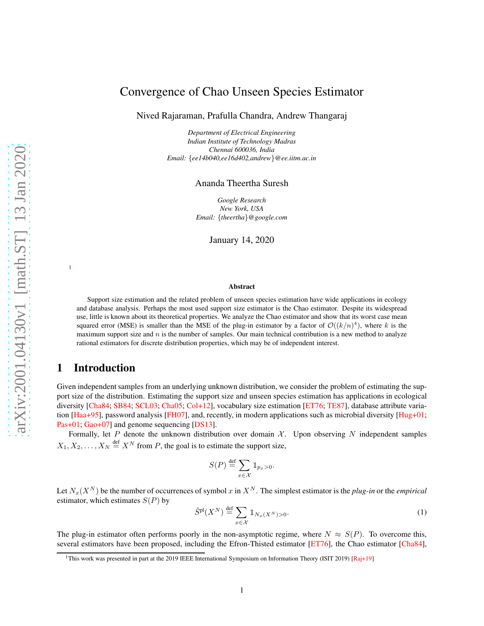# Convergence of Chao Unseen Species Estimator

Nived Rajaraman, Prafulla Chandra, Andrew Thangaraj

*Department of Electrical Engineering Indian Institute of Technology Madras Chennai 600036, India Email:* {*ee14b040,ee16d402,andrew*}*@ee.iitm.ac.in*

Ananda Theertha Suresh

*Google Research New York, USA Email:* {*theertha*}*@google.com*

January 14, 2020

#### Abstract

Support size estimation and the related problem of unseen species estimation have wide applications in ecology and database analysis. Perhaps the most used support size estimator is the Chao estimator. Despite its widespread use, little is known about its theoretical properties. We analyze the Chao estimator and show that its worst case mean squared error (MSE) is smaller than the MSE of the plug-in estimator by a factor of  $\mathcal{O}((k/n)^4)$ , where k is the maximum support size and  $n$  is the number of samples. Our main technical contribution is a new method to analyze rational estimators for discrete distribution properties, which may be of independent interest.

## 1 Introduction

[1](#page-0-0)

Given independent samples from an underlying unknown distribution, we consider the problem of estimating the support size of the distribution. Estimating the support size and unseen species estimation has applications in ecological diversity [\[Cha84;](#page-14-0) [SB84;](#page-15-0) [SCL03;](#page-15-1) [Cha05;](#page-14-1) [Col+12](#page-14-2)], vocabulary size estimation [\[ET76;](#page-14-3) [TE87](#page-15-2)], database attribute variation [\[Haa+95\]](#page-14-4), password analysis [\[FH07\]](#page-14-5), and, recently, in modern applications such as microbial diversity [\[Hug+01](#page-14-6); [Pas+01](#page-15-3); [Gao+07\]](#page-14-7) and genome sequencing [\[DS13\]](#page-14-8).

Formally, let *P* denote the unknown distribution over domain  $\mathcal{X}$ . Upon observing *N* independent samples  $X_1, X_2, \ldots, X_N \stackrel{\text{def}}{=} X^N$  from *P*, the goal is to estimate the support size,

$$
S(P) \stackrel{\text{def}}{=} \sum_{x \in \mathcal{X}} \mathbb{1}_{p_x > 0}.
$$

Let  $N_x(X^N)$  be the number of occurrences of symbol *x* in  $X^N$ . The simplest estimator is the *plug-in* or the *empirical* estimator, which estimates *S*(*P*) by

<span id="page-0-1"></span>
$$
\hat{S}^{\text{pl}}(X^N) \stackrel{\text{def}}{=} \sum_{x \in \mathcal{X}} \mathbb{1}_{N_x(X^N) > 0} \tag{1}
$$

The plug-in estimator often performs poorly in the non-asymptotic regime, where  $N \approx S(P)$ . To overcome this, several estimators have been proposed, including the Efron-Thisted estimator [\[ET76\]](#page-14-3), the Chao estimator [\[Cha84](#page-14-0)],

<span id="page-0-0"></span><sup>&</sup>lt;sup>1</sup>This work was presented in part at the 2019 IEEE International Symposium on Information Theory (ISIT 2019) [\[Raj+19\]](#page-15-4)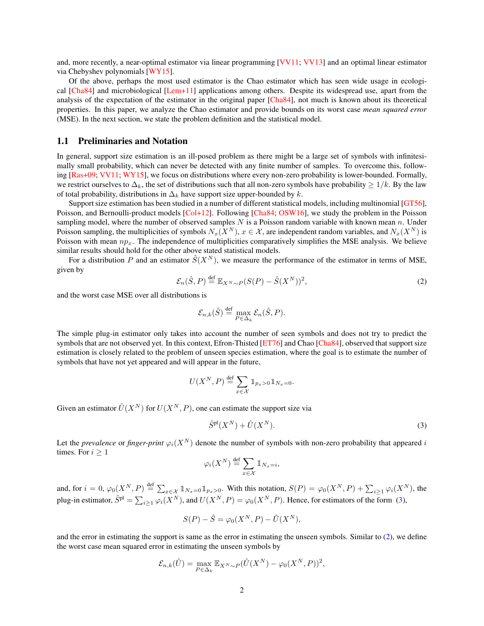and, more recently, a near-optimal estimator via linear programming [\[VV11](#page-15-5); [VV13](#page-15-6)] and an optimal linear estimator via Chebyshev polynomials [\[WY15\]](#page-15-7).

Of the above, perhaps the most used estimator is the Chao estimator which has seen wide usage in ecological [\[Cha84\]](#page-14-0) and microbiological [\[Lem+11\]](#page-14-9) applications among others. Despite its widespread use, apart from the analysis of the expectation of the estimator in the original paper [\[Cha84\]](#page-14-0), not much is known about its theoretical properties. In this paper, we analyze the Chao estimator and provide bounds on its worst case *mean squared error* (MSE). In the next section, we state the problem definition and the statistical model.

#### 1.1 Preliminaries and Notation

In general, support size estimation is an ill-posed problem as there might be a large set of symbols with infinitesimally small probability, which can never be detected with any finite number of samples. To overcome this, following [\[Ras+09;](#page-15-8) [VV11;](#page-15-5) [WY15](#page-15-7)], we focus on distributions where every non-zero probability is lower-bounded. Formally, we restrict ourselves to  $\Delta_k$ , the set of distributions such that all non-zero symbols have probability  $\geq 1/k$ . By the law of total probability, distributions in ∆*<sup>k</sup>* have support size upper-bounded by *k*.

Support size estimation has been studied in a number of different statistical models, including multinomial [\[GT56](#page-14-10)], Poisson, and Bernoulli-product models [\[Col+12\]](#page-14-2). Following [\[Cha84](#page-14-0); [OSW16\]](#page-14-11), we study the problem in the Poisson sampling model, where the number of observed samples *N* is a Poisson random variable with known mean *n*. Under Poisson sampling, the multiplicities of symbols  $N_x(X^N)$ ,  $x \in \mathcal{X}$ , are independent random variables, and  $N_x(X^N)$  is Poisson with mean  $np_x$ . The independence of multiplicities comparatively simplifies the MSE analysis. We believe similar results should hold for the other above stated statistical models.

For a distribution *P* and an estimator  $\hat{S}(X^N)$ , we measure the performance of the estimator in terms of MSE, given by

<span id="page-1-1"></span>
$$
\mathcal{E}_n(\hat{S}, P) \stackrel{\text{def}}{=} \mathbb{E}_{X^N \sim P} (S(P) - \hat{S}(X^N))^2,
$$
\n(2)

and the worst case MSE over all distributions is

$$
\mathcal{E}_{n,k}(\hat{S}) \stackrel{\text{def}}{=} \max_{P \in \Delta_k} \mathcal{E}_n(\hat{S}, P).
$$

The simple plug-in estimator only takes into account the number of seen symbols and does not try to predict the symbols that are not observed yet. In this context, Efron-Thisted [\[ET76\]](#page-14-3) and Chao [\[Cha84](#page-14-0)], observed that support size estimation is closely related to the problem of unseen species estimation, where the goal is to estimate the number of symbols that have not yet appeared and will appear in the future,

$$
U(X^N, P) \stackrel{\text{def}}{=} \sum_{x \in \mathcal{X}} \mathbb{1}_{p_x > 0} \mathbb{1}_{N_x = 0}.
$$

Given an estimator  $\hat{U}(X^N)$  for  $U(X^N, P)$ , one can estimate the support size via

<span id="page-1-0"></span>
$$
\hat{S}^{\text{pl}}(X^N) + \hat{U}(X^N). \tag{3}
$$

Let the *prevalence* or *finger-print*  $\varphi_i(X^N)$  denote the number of symbols with non-zero probability that appeared *i* times. For  $i \geq 1$ 

$$
\varphi_i(X^N) \stackrel{\text{def}}{=} \sum_{x \in \mathcal{X}} \mathbb{1}_{N_x = i},
$$

and, for  $i = 0$ ,  $\varphi_0(X^N, P) \stackrel{\text{def}}{=} \sum_{x \in \mathcal{X}} 1\!\!1_{N_x = 0} 1\!\!1_{p_x > 0}$ . With this notation,  $S(P) = \varphi_0(X^N, P) + \sum_{i \ge 1} \varphi_i(X^N)$ , the plug-in estimator,  $\hat{S}^{pl} = \sum_{i \ge 1} \varphi_i(X^N)$ , and  $U(X^N, P) = \varphi_0(X^N, P)$ . Hence, for estimators of the form [\(3\)](#page-1-0),

$$
S(P) - \hat{S} = \varphi_0(X^N, P) - \hat{U}(X^N),
$$

and the error in estimating the support is same as the error in estimating the unseen symbols. Similar to [\(2\)](#page-1-1), we define the worst case mean squared error in estimating the unseen symbols by

$$
\mathcal{E}_{n,k}(\hat{U}) = \max_{P \in \Delta_k} \mathbb{E}_{X^N \sim P}(\hat{U}(X^N) - \varphi_0(X^N, P))^2,
$$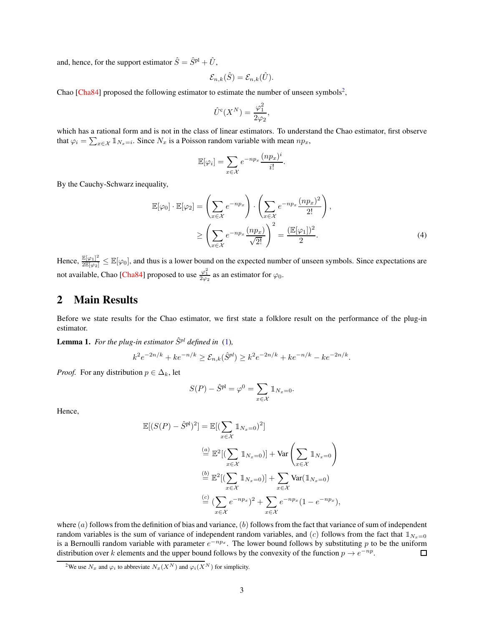and, hence, for the support estimator  $\hat{S} = \hat{S}^{pl} + \hat{U}$ ,

$$
\mathcal{E}_{n,k}(\hat{S}) = \mathcal{E}_{n,k}(\hat{U}).
$$

Chao [\[Cha84\]](#page-14-0) proposed the following estimator to estimate the number of unseen symbols<sup>[2](#page-2-0)</sup>,

$$
\hat{U}^{\rm c}(X^N) = \frac{\varphi_1^2}{2\varphi_2},
$$

which has a rational form and is not in the class of linear estimators. To understand the Chao estimator, first observe that  $\varphi_i = \sum_{x \in \mathcal{X}} \mathbb{1}_{N_x = i}$ . Since  $N_x$  is a Poisson random variable with mean  $np_x$ ,

<span id="page-2-2"></span>
$$
\mathbb{E}[\varphi_i] = \sum_{x \in \mathcal{X}} e^{-np_x} \frac{(np_x)^i}{i!}.
$$

By the Cauchy-Schwarz inequality,

$$
\mathbb{E}[\varphi_0] \cdot \mathbb{E}[\varphi_2] = \left(\sum_{x \in \mathcal{X}} e^{-np_x}\right) \cdot \left(\sum_{x \in \mathcal{X}} e^{-np_x} \frac{(np_x)^2}{2!}\right),
$$
  

$$
\ge \left(\sum_{x \in \mathcal{X}} e^{-np_x} \frac{(np_x)}{\sqrt{2!}}\right)^2 = \frac{(\mathbb{E}[\varphi_1])^2}{2}.
$$
 (4)

Hence,  $\frac{\mathbb{E}[\varphi_1]^2}{2\mathbb{E}[\varphi_2]} \leq \mathbb{E}[\varphi_0]$ , and thus is a lower bound on the expected number of unseen symbols. Since expectations are not available, Chao [\[Cha84\]](#page-14-0) proposed to use  $\frac{\varphi_1^2}{2\varphi_2}$  as an estimator for  $\varphi_0$ .

## 2 Main Results

Before we state results for the Chao estimator, we first state a folklore result on the performance of the plug-in estimator.

<span id="page-2-1"></span>**Lemma 1.** For the plug-in estimator  $\hat{S}^{pl}$  defined in [\(1\)](#page-0-1),

$$
k^{2}e^{-2n/k} + ke^{-n/k} \geq \mathcal{E}_{n,k}(\hat{S}^{pl}) \geq k^{2}e^{-2n/k} + ke^{-n/k} - ke^{-2n/k}.
$$

*Proof.* For any distribution  $p \in \Delta_k$ , let

$$
S(P) - \hat{S}^{\text{pl}} = \varphi^0 = \sum_{x \in \mathcal{X}} \mathbb{1}_{N_x = 0}.
$$

Hence,

$$
\mathbb{E}[(S(P) - \hat{S}^{pl})^2] = \mathbb{E}[(\sum_{x \in \mathcal{X}} \mathbb{1}_{N_x=0})^2]
$$

$$
\stackrel{(a)}{=} \mathbb{E}^2[(\sum_{x \in \mathcal{X}} \mathbb{1}_{N_x=0})] + \text{Var}\left(\sum_{x \in \mathcal{X}} \mathbb{1}_{N_x=0}\right)
$$

$$
\stackrel{(b)}{=} \mathbb{E}^2[(\sum_{x \in \mathcal{X}} \mathbb{1}_{N_x=0})] + \sum_{x \in \mathcal{X}} \text{Var}(\mathbb{1}_{N_x=0})
$$

$$
\stackrel{(c)}{=} (\sum_{x \in \mathcal{X}} e^{-np_x})^2 + \sum_{x \in \mathcal{X}} e^{-np_x}(1 - e^{-np_x}),
$$

where  $(a)$  follows from the definition of bias and variance,  $(b)$  follows from the fact that variance of sum of independent random variables is the sum of variance of independent random variables, and (*c*) follows from the fact that  $\mathbb{1}_{N_x=0}$ is a Bernoulli random variable with parameter *e* <sup>−</sup>*np<sup>x</sup>* . The lower bound follows by substituting *p* to be the uniform distribution over *k* elements and the upper bound follows by the convexity of the function  $p \to e^{-np}$ .  $\Box$ 

<span id="page-2-0"></span><sup>&</sup>lt;sup>2</sup>We use  $N_x$  and  $\varphi_i$  to abbreviate  $N_x(X^N)$  and  $\varphi_i(X^N)$  for simplicity.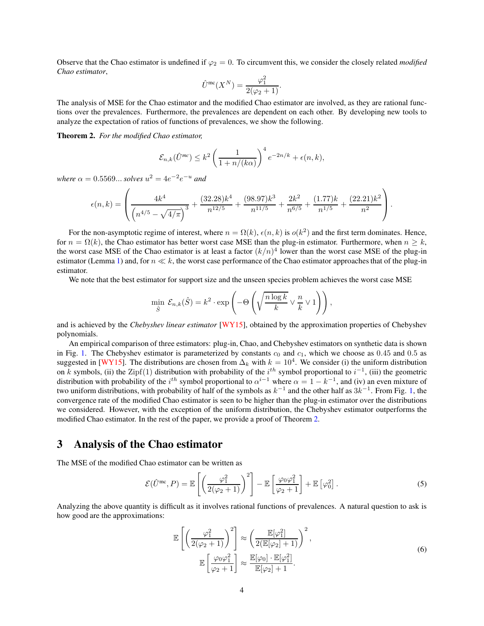Observe that the Chao estimator is undefined if  $\varphi_2 = 0$ . To circumvent this, we consider the closely related *modified Chao estimator*,

$$
\hat{U}^{\rm mc}(X^N) = \frac{\varphi_1^2}{2(\varphi_2 + 1)}.
$$

The analysis of MSE for the Chao estimator and the modified Chao estimator are involved, as they are rational functions over the prevalences. Furthermore, the prevalences are dependent on each other. By developing new tools to analyze the expectation of ratios of functions of prevalences, we show the following.

<span id="page-3-0"></span>Theorem 2. *For the modified Chao estimator,*

$$
\mathcal{E}_{n,k}(\hat{U}^{mc}) \leq k^2 \left(\frac{1}{1+n/(k\alpha)}\right)^4 e^{-2n/k} + \epsilon(n,k),
$$

*where*  $\alpha = 0.5569...$  *solves*  $u^2 = 4e^{-2}e^{-u}$  *and* 

$$
\epsilon(n,k) = \left( \frac{4k^4}{\left(n^{4/5} - \sqrt{4/\pi}\right)^3} + \frac{(32.28)k^4}{n^{12/5}} + \frac{(98.97)k^3}{n^{11/5}} + \frac{2k^2}{n^{6/5}} + \frac{(1.77)k}{n^{1/5}} + \frac{(22.21)k^2}{n^2} \right).
$$

For the non-asymptotic regime of interest, where  $n = \Omega(k)$ ,  $\epsilon(n, k)$  is  $o(k^2)$  and the first term dominates. Hence, for  $n = \Omega(k)$ , the Chao estimator has better worst case MSE than the plug-in estimator. Furthermore, when  $n \geq k$ , the worst case MSE of the Chao estimator is at least a factor  $(k/n)^4$  lower than the worst case MSE of the plug-in estimator (Lemma [1\)](#page-2-1) and, for *n* ≪ *k*, the worst case performance of the Chao estimator approaches that of the plug-in estimator.

We note that the best estimator for support size and the unseen species problem achieves the worst case MSE

$$
\min_{\hat{S}} \mathcal{E}_{n,k}(\hat{S}) = k^2 \cdot \exp\left(-\Theta\left(\sqrt{\frac{n \log k}{k}} \vee \frac{n}{k} \vee 1\right)\right),\,
$$

and is achieved by the *Chebyshev linear estimator* [\[WY15\]](#page-15-7), obtained by the approximation properties of Chebyshev polynomials.

An empirical comparison of three estimators: plug-in, Chao, and Chebyshev estimators on synthetic data is shown in Fig. [1.](#page-4-0) The Chebyshev estimator is parameterized by constants  $c_0$  and  $c_1$ , which we choose as 0.45 and 0.5 as suggested in [\[WY15\]](#page-15-7). The distributions are chosen from  $\Delta_k$  with  $k = 10^4$ . We consider (i) the uniform distribution on *k* symbols, (ii) the Zipf(1) distribution with probability of the *i th* symbol proportional to *i* −1 , (iii) the geometric distribution with probability of the *i*<sup>th</sup> symbol proportional to  $\alpha^{i-1}$  where  $\alpha = 1 - k^{-1}$ , and (iv) an even mixture of two uniform distributions, with probability of half of the symbols as  $k^{-1}$  and the other half as  $3k^{-1}$ . From Fig. [1,](#page-4-0) the convergence rate of the modified Chao estimator is seen to be higher than the plug-in estimator over the distributions we considered. However, with the exception of the uniform distribution, the Chebyshev estimator outperforms the modified Chao estimator. In the rest of the paper, we provide a proof of Theorem [2.](#page-3-0)

### 3 Analysis of the Chao estimator

The MSE of the modified Chao estimator can be written as

<span id="page-3-2"></span>
$$
\mathcal{E}(\hat{U}^{\rm mc}, P) = \mathbb{E}\left[\left(\frac{\varphi_1^2}{2(\varphi_2 + 1)}\right)^2\right] - \mathbb{E}\left[\frac{\varphi_0 \varphi_1^2}{\varphi_2 + 1}\right] + \mathbb{E}\left[\varphi_0^2\right].\tag{5}
$$

Analyzing the above quantity is difficult as it involves rational functions of prevalences. A natural question to ask is how good are the approximations:

<span id="page-3-1"></span>
$$
\mathbb{E}\left[\left(\frac{\varphi_1^2}{2(\varphi_2+1)}\right)^2\right] \approx \left(\frac{\mathbb{E}[\varphi_1^2]}{2(\mathbb{E}[\varphi_2]+1)}\right)^2,
$$
\n
$$
\mathbb{E}\left[\frac{\varphi_0\varphi_1^2}{\varphi_2+1}\right] \approx \frac{\mathbb{E}[\varphi_0] \cdot \mathbb{E}[\varphi_1^2]}{\mathbb{E}[\varphi_2]+1}.
$$
\n(6)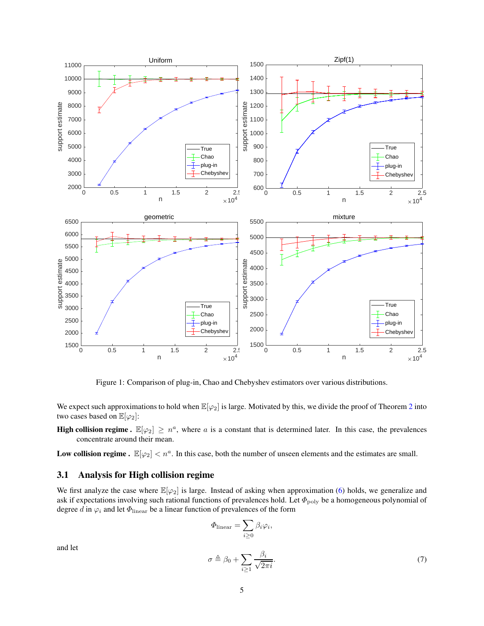<span id="page-4-0"></span>

Figure 1: Comparison of plug-in, Chao and Chebyshev estimators over various distributions.

We expect such approximations to hold when  $\mathbb{E}[\varphi_2]$  $\mathbb{E}[\varphi_2]$  $\mathbb{E}[\varphi_2]$  is large. Motivated by this, we divide the proof of Theorem 2 into two cases based on  $\mathbb{E}[\varphi_2]$ :

**High collision regime.**  $\mathbb{E}[\varphi_2] \geq n^a$ , where *a* is a constant that is determined later. In this case, the prevalences concentrate around their mean.

Low collision regime .  $\mathbb{E}[\varphi_2] < n^a$ . In this case, both the number of unseen elements and the estimates are small.

### 3.1 Analysis for High collision regime

We first analyze the case where  $\mathbb{E}[\varphi_2]$  is large. Instead of asking when approximation [\(6\)](#page-3-1) holds, we generalize and ask if expectations involving such rational functions of prevalences hold. Let  $\Phi_{\text{poly}}$  be a homogeneous polynomial of degree *d* in  $\varphi_i$  and let  $\Phi_{\text{linear}}$  be a linear function of prevalences of the form

<span id="page-4-1"></span>
$$
\Phi_{\text{linear}} = \sum_{i \ge 0} \beta_i \varphi_i,
$$
\n
$$
\sigma \triangleq \beta_0 + \sum_{i \ge 1} \frac{\beta_i}{\sqrt{2\pi i}}.
$$
\n(7)

and let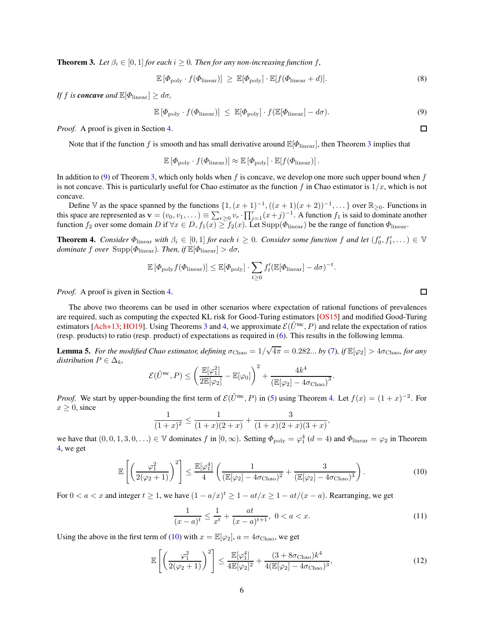<span id="page-5-0"></span>**Theorem 3.** Let  $\beta_i \in [0,1]$  for each  $i \geq 0$ . Then for any non-increasing function f,

<span id="page-5-5"></span>
$$
\mathbb{E}\left[\Phi_{\text{poly}}\cdot f(\Phi_{\text{linear}})\right] \geq \mathbb{E}[\Phi_{\text{poly}}]\cdot \mathbb{E}[f(\Phi_{\text{linear}}+d)]. \tag{8}
$$

*If f is concave and*  $\mathbb{E}[\Phi_{\text{linear}}] \geq d\sigma$ *,* 

<span id="page-5-1"></span>
$$
\mathbb{E}\left[\Phi_{\text{poly}}\cdot f(\Phi_{\text{linear}})\right] \leq \mathbb{E}[\Phi_{\text{poly}}]\cdot f(\mathbb{E}[\Phi_{\text{linear}}] - d\sigma). \tag{9}
$$

*Proof.* A proof is given in Section [4.](#page-12-0)

Note that if the function *f* is smooth and has small derivative around  $\mathbb{E}[\Phi_{\text{linear}}]$ , then Theorem [3](#page-5-0) implies that

 $\mathbb{E}[\Phi_{\text{poly}} \cdot f(\Phi_{\text{linear}})] \approx \mathbb{E}[\Phi_{\text{poly}}] \cdot \mathbb{E}[f(\Phi_{\text{linear}})].$ 

In addition to [\(9\)](#page-5-1) of Theorem [3,](#page-5-0) which only holds when *f* is concave, we develop one more such upper bound when *f* is not concave. This is particularly useful for Chao estimator as the function  $f$  in Chao estimator is  $1/x$ , which is not concave.

Define V as the space spanned by the functions  $\{1, (x+1)^{-1}, ((x+1)(x+2))^{-1}, \dots\}$  over  $\mathbb{R}_{\geq 0}$ . Functions in this space are represented as  $\mathbf{v} = (v_0, v_1, \dots) \equiv \sum_{r \geq 0} v_r \cdot \prod_{j=1}^r (x+j)^{-1}$ . A function  $f_1$  is said to dominate another function  $f_2$  over some domain  $D$  if  $\forall x \in D$ ,  $f_1(x) \ge f_2(x)$ . Let  $\text{Supp}(\Phi_{\text{linear}})$  be the range of function  $\Phi_{\text{linear}}$ .

<span id="page-5-2"></span>**Theorem 4.** *Consider*  $\Phi_{\text{linear}}$  *with*  $\beta_i \in [0,1]$  *for each*  $i \geq 0$ *. Consider some function f* and let  $(f'_0, f'_1, \dots) \in \mathbb{V}$ *dominate f over* Supp( $\Phi$ <sub>linear</sub>)*. Then, if*  $\mathbb{E}[\Phi$ <sub>linear</sub>]  $> d\sigma$ *,* 

$$
\mathbb{E}[\Phi_{\text{poly}}f(\Phi_{\text{linear}})] \leq \mathbb{E}[\Phi_{\text{poly}}] \cdot \sum_{t \geq 0} f'_t(\mathbb{E}[\Phi_{\text{linear}}] - d\sigma)^{-t}.
$$

*Proof.* A proof is given in Section [4.](#page-12-0)

The above two theorems can be used in other scenarios where expectation of rational functions of prevalences are required, such as computing the expected KL risk for Good-Turing estimators [\[OS15\]](#page-14-12) and modified Good-Turing estimators [\[Ach+13;](#page-14-13) [HO19](#page-14-14)]. Using Theorems [3](#page-5-0) and [4,](#page-5-2) we approximate  $\mathcal{E}(\hat{U}^{mc}, P)$  and relate the expectation of ratios (resp. products) to ratio (resp. product) of expectations as required in [\(6\)](#page-3-1). This results in the following lemma.

<span id="page-5-6"></span>**Lemma 5.** For the modified Chao estimator, defining  $\sigma_{Chao} = 1/\sqrt{4\pi} = 0.282...$  by [\(7\)](#page-4-1), if  $\mathbb{E}[\varphi_2] > 4\sigma_{Chao}$ , for any *distribution*  $P \in \Delta_k$ *,* 

$$
\mathcal{E}(\hat{U}^{mc}, P) \leq \left(\frac{\mathbb{E}[\varphi_1^2]}{2\mathbb{E}[\varphi_2]} - \mathbb{E}[\varphi_0]\right)^2 + \frac{4k^4}{\left(\mathbb{E}[\varphi_2] - 4\sigma_{\text{Chao}}\right)^3}.
$$

*Proof.* We start by upper-bounding the first term of  $\mathcal{E}(\hat{U}^{mc}, P)$  in [\(5\)](#page-3-2) using Theorem [4.](#page-5-2) Let  $f(x) = (1+x)^{-2}$ . For  $x \geq 0$ , since

$$
\frac{1}{(1+x)^2} \le \frac{1}{(1+x)(2+x)} + \frac{3}{(1+x)(2+x)(3+x)}
$$

we have that  $(0,0,1,3,0,\ldots) \in \mathbb{V}$  dominates *f* in  $[0,\infty)$ . Setting  $\Phi_{\text{poly}} = \varphi_1^4$   $(d = 4)$  and  $\Phi_{\text{linear}} = \varphi_2$  in Theorem [4,](#page-5-2) we get

$$
\mathbb{E}\left[\left(\frac{\varphi_1^2}{2(\varphi_2+1)}\right)^2\right] \le \frac{\mathbb{E}[\varphi_1^4]}{4} \left(\frac{1}{\left(\mathbb{E}[\varphi_2] - 4\sigma_{\text{Chao}}\right)^2} + \frac{3}{\left(\mathbb{E}[\varphi_2] - 4\sigma_{\text{Chao}}\right)^3}\right). \tag{10}
$$

For  $0 < a < x$  and integer  $t \ge 1$ , we have  $(1 - a/x)^t \ge 1 - at/x \ge 1 - at/(x - a)$ . Rearranging, we get

$$
\frac{1}{(x-a)^t} \le \frac{1}{x^t} + \frac{at}{(x-a)^{t+1}}, \ 0 < a < x. \tag{11}
$$

<span id="page-5-4"></span><span id="page-5-3"></span>*,*

Using the above in the first term of [\(10\)](#page-5-3) with  $x = \mathbb{E}[\varphi_2]$ ,  $a = 4\sigma_{\text{Chao}}$ , we get

$$
\mathbb{E}\left[\left(\frac{\varphi_1^2}{2(\varphi_2+1)}\right)^2\right] \le \frac{\mathbb{E}[\varphi_1^4]}{4\mathbb{E}[\varphi_2]^2} + \frac{(3 + 8\sigma_{\text{Chao}})k^4}{4(\mathbb{E}[\varphi_2] - 4\sigma_{\text{Chao}})^3},\tag{12}
$$

 $\Box$ 

 $\Box$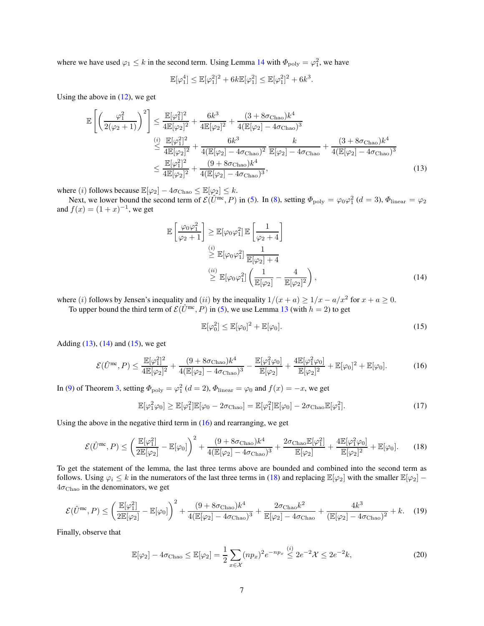where we have used  $\varphi_1 \leq k$  in the second term. Using Lemma [14](#page-17-0) with  $\Phi_{\text{poly}} = \varphi_1^2$ , we have

$$
\mathbb{E}[\varphi_1^4] \le \mathbb{E}[\varphi_1^2]^2 + 6k \mathbb{E}[\varphi_1^2] \le \mathbb{E}[\varphi_1^2]^2 + 6k^3.
$$

Using the above in  $(12)$ , we get

$$
\mathbb{E}\left[\left(\frac{\varphi_1^2}{2(\varphi_2+1)}\right)^2\right] \le \frac{\mathbb{E}[\varphi_1^2]^2}{4\mathbb{E}[\varphi_2]^2} + \frac{6k^3}{4\mathbb{E}[\varphi_2]^2} + \frac{(3+8\sigma_{\text{Chao}})k^4}{4(\mathbb{E}[\varphi_2] - 4\sigma_{\text{Chao}})^3} \n\overset{(i)}{\le} \frac{\mathbb{E}[\varphi_1^2]^2}{4\mathbb{E}[\varphi_2]^2} + \frac{6k^3}{4(\mathbb{E}[\varphi_2] - 4\sigma_{\text{Chao}})^2} \frac{k}{\mathbb{E}[\varphi_2] - 4\sigma_{\text{Chao}} + \frac{(3+8\sigma_{\text{Chao}})k^4}{4(\mathbb{E}[\varphi_2] - 4\sigma_{\text{Chao}})^3} \n\le \frac{\mathbb{E}[\varphi_1^2]^2}{4\mathbb{E}[\varphi_2]^2} + \frac{(9+8\sigma_{\text{Chao}})k^4}{4(\mathbb{E}[\varphi_2] - 4\sigma_{\text{Chao}})^3},
$$
\n(13)

where (*i*) follows because  $\mathbb{E}[\varphi_2] - 4\sigma_{\text{Chao}} \leq \mathbb{E}[\varphi_2] \leq k$ .

Next, we lower bound the second term of  $\mathcal{E}(\hat{U}^{\text{inc}}, P)$  in [\(5\)](#page-3-2). In [\(8\)](#page-5-5), setting  $\Phi_{\text{poly}} = \varphi_0 \varphi_1^2$  ( $d = 3$ ),  $\Phi_{\text{linear}} = \varphi_2$ and  $f(x) = (1 + x)^{-1}$ , we get

<span id="page-6-0"></span>
$$
\mathbb{E}\left[\frac{\varphi_0 \varphi_1^2}{\varphi_2 + 1}\right] \geq \mathbb{E}[\varphi_0 \varphi_1^2] \mathbb{E}\left[\frac{1}{\varphi_2 + 4}\right] \n\overset{(i)}{\geq} \mathbb{E}[\varphi_0 \varphi_1^2] \frac{1}{\mathbb{E}[\varphi_2] + 4} \n\overset{(ii)}{\geq} \mathbb{E}[\varphi_0 \varphi_1^2] \left(\frac{1}{\mathbb{E}[\varphi_2]} - \frac{4}{\mathbb{E}[\varphi_2]^2}\right),
$$
\n(14)

where (*i*) follows by Jensen's inequality and (*ii*) by the inequality  $1/(x + a) \ge 1/x - a/x^2$  for  $x + a \ge 0$ .

To upper bound the third term of  $\mathcal{E}(\hat{U}^{\text{mc}}, P)$  in [\(5\)](#page-3-2), we use Lemma [13](#page-16-0) (with  $h = 2$ ) to get

<span id="page-6-3"></span><span id="page-6-2"></span><span id="page-6-1"></span>
$$
\mathbb{E}[\varphi_0^2] \le \mathbb{E}[\varphi_0]^2 + \mathbb{E}[\varphi_0].
$$
\n(15)

Adding  $(13)$ ,  $(14)$  and  $(15)$ , we get

$$
\mathcal{E}(\hat{U}^{\rm mc}, P) \le \frac{\mathbb{E}[\varphi_1^2]^2}{4\mathbb{E}[\varphi_2]^2} + \frac{(9 + 8\sigma_{\rm Chao})k^4}{4(\mathbb{E}[\varphi_2] - 4\sigma_{\rm Chao})^3} - \frac{\mathbb{E}[\varphi_1^2 \varphi_0]}{\mathbb{E}[\varphi_2]} + \frac{4\mathbb{E}[\varphi_1^2 \varphi_0]}{\mathbb{E}[\varphi_2]^2} + \mathbb{E}[\varphi_0]^2 + \mathbb{E}[\varphi_0].
$$
 (16)

In [\(9\)](#page-5-1) of Theorem [3,](#page-5-0) setting  $\Phi_{\text{poly}} = \varphi_1^2$  ( $d = 2$ ),  $\Phi_{\text{linear}} = \varphi_0$  and  $f(x) = -x$ , we get

$$
\mathbb{E}[\varphi_1^2 \varphi_0] \ge \mathbb{E}[\varphi_1^2] \mathbb{E}[\varphi_0 - 2\sigma_{\text{Chao}}] = \mathbb{E}[\varphi_1^2] \mathbb{E}[\varphi_0] - 2\sigma_{\text{Chao}} \mathbb{E}[\varphi_1^2]. \tag{17}
$$

Using the above in the negative third term in  $(16)$  and rearranging, we get

<span id="page-6-4"></span>
$$
\mathcal{E}(\hat{U}^{\rm mc}, P) \le \left(\frac{\mathbb{E}[\varphi_1^2]}{2\mathbb{E}[\varphi_2]} - \mathbb{E}[\varphi_0]\right)^2 + \frac{(9 + 8\sigma_{\rm Chao})k^4}{4(\mathbb{E}[\varphi_2] - 4\sigma_{\rm Chao})^3} + \frac{2\sigma_{\rm Chao}\mathbb{E}[\varphi_1^2]}{\mathbb{E}[\varphi_2]} + \frac{4\mathbb{E}[\varphi_1^2\varphi_0]}{\mathbb{E}[\varphi_2]^2} + \mathbb{E}[\varphi_0].
$$
 (18)

To get the statement of the lemma, the last three terms above are bounded and combined into the second term as follows. Using  $\varphi_i \leq k$  in the numerators of the last three terms in [\(18\)](#page-6-4) and replacing  $\mathbb{E}[\varphi_2]$  with the smaller  $\mathbb{E}[\varphi_2]$  –  $4\sigma_{\text{Chao}}$  in the denominators, we get

<span id="page-6-5"></span>
$$
\mathcal{E}(\hat{U}^{\text{mc}}, P) \le \left(\frac{\mathbb{E}[\varphi_1^2]}{2\mathbb{E}[\varphi_2]} - \mathbb{E}[\varphi_0]\right)^2 + \frac{(9 + 8\sigma_{\text{Chao}})k^4}{4(\mathbb{E}[\varphi_2] - 4\sigma_{\text{Chao}})^3} + \frac{2\sigma_{\text{Chao}}k^2}{\mathbb{E}[\varphi_2] - 4\sigma_{\text{Chao}}} + \frac{4k^3}{(\mathbb{E}[\varphi_2] - 4\sigma_{\text{Chao}})^2} + k. \tag{19}
$$

Finally, observe that

$$
\mathbb{E}[\varphi_2] - 4\sigma_{\text{Chao}} \le \mathbb{E}[\varphi_2] = \frac{1}{2} \sum_{x \in \mathcal{X}} (np_x)^2 e^{-np_x} \stackrel{(i)}{\le} 2e^{-2} \mathcal{X} \le 2e^{-2} k,\tag{20}
$$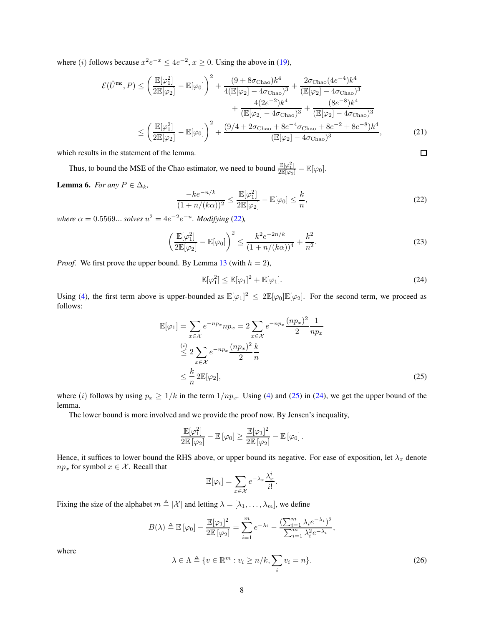where (*i*) follows because  $x^2e^{-x} \le 4e^{-2}$ ,  $x \ge 0$ . Using the above in [\(19\)](#page-6-5),

$$
\mathcal{E}(\hat{U}^{\text{mc}}, P) \leq \left(\frac{\mathbb{E}[\varphi_1^2]}{2\mathbb{E}[\varphi_2]} - \mathbb{E}[\varphi_0]\right)^2 + \frac{(9 + 8\sigma_{\text{Chao}})k^4}{4(\mathbb{E}[\varphi_2] - 4\sigma_{\text{Chao}})^3} + \frac{2\sigma_{\text{Chao}}(4e^{-4})k^4}{(\mathbb{E}[\varphi_2] - 4\sigma_{\text{Chao}})^3} + \frac{4(2e^{-2})k^4}{(\mathbb{E}[\varphi_2] - 4\sigma_{\text{Chao}})^3} + \frac{(8e^{-8})k^4}{(\mathbb{E}[\varphi_2] - 4\sigma_{\text{Chao}})^3} + \frac{(8e^{-8})k^4}{(\mathbb{E}[\varphi_2] - 4\sigma_{\text{Chao}})^3} + \frac{2\sigma_{\text{Chao}}(4e^{-4})k^4}{(\mathbb{E}[\varphi_2] - 4\sigma_{\text{Chao}} + 8e^{-2} + 8e^{-8})k^4},
$$
\n
$$
\leq \left(\frac{\mathbb{E}[\varphi_1^2]}{2\mathbb{E}[\varphi_2]} - \mathbb{E}[\varphi_0]\right)^2 + \frac{(9/4 + 2\sigma_{\text{Chao}} + 8e^{-4}\sigma_{\text{Chao}} + 8e^{-2} + 8e^{-8})k^4}{(\mathbb{E}[\varphi_2] - 4\sigma_{\text{Chao}})^3},
$$
\n(21)

which results in the statement of the lemma.

<span id="page-7-3"></span>Thus, to bound the MSE of the Chao estimator, we need to bound  $\frac{\mathbb{E}[\varphi_1^2]}{2\mathbb{E}[\varphi_2]} - \mathbb{E}[\varphi_0]$ . Lemma 6. *For any*  $P \in \Delta_k$ *,* 

<span id="page-7-0"></span>
$$
\frac{-ke^{-n/k}}{(1+n/(k\alpha))^2} \le \frac{\mathbb{E}[\varphi_1^2]}{2\mathbb{E}[\varphi_2]} - \mathbb{E}[\varphi_0] \le \frac{k}{n},
$$

*where*  $\alpha = 0.5569...$  *solves*  $u^2 = 4e^{-2}e^{-u}$ *. Modifying* [\(22\)](#page-7-0)*,* 

$$
\left(\frac{\mathbb{E}[\varphi_1^2]}{2\mathbb{E}[\varphi_2]} - \mathbb{E}[\varphi_0]\right)^2 \le \frac{k^2 e^{-2n/k}}{(1 + n/(k\alpha))^4} + \frac{k^2}{n^2}.
$$
\n(23)

*Proof.* We first prove the upper bound. By Lemma [13](#page-16-0) (with  $h = 2$ ),

$$
\mathbb{E}[\varphi_1^2] \le \mathbb{E}[\varphi_1]^2 + \mathbb{E}[\varphi_1].
$$
\n(24)

<span id="page-7-2"></span><span id="page-7-1"></span>*,* (22)

 $\Box$ 

Using [\(4\)](#page-2-2), the first term above is upper-bounded as  $\mathbb{E}[\varphi_1]^2 \leq 2\mathbb{E}[\varphi_0]\mathbb{E}[\varphi_2]$ . For the second term, we proceed as follows:

$$
\mathbb{E}[\varphi_1] = \sum_{x \in \mathcal{X}} e^{-np_x} np_x = 2 \sum_{x \in \mathcal{X}} e^{-np_x} \frac{(np_x)^2}{2} \frac{1}{np_x}
$$
  
\n
$$
\stackrel{(i)}{\leq} 2 \sum_{x \in \mathcal{X}} e^{-np_x} \frac{(np_x)^2}{2} \frac{k}{n}
$$
  
\n
$$
\leq \frac{k}{n} 2\mathbb{E}[\varphi_2],
$$
\n(25)

where (*i*) follows by using  $p_x \ge 1/k$  in the term  $1/p_x$ . Using [\(4\)](#page-2-2) and [\(25\)](#page-7-1) in [\(24\)](#page-7-2), we get the upper bound of the lemma.

The lower bound is more involved and we provide the proof now. By Jensen's inequality,

$$
\frac{\mathbb{E}[\varphi_1^2]}{2\mathbb{E}[\varphi_2]} - \mathbb{E}[\varphi_0] \ge \frac{\mathbb{E}[\varphi_1]^2}{2\mathbb{E}[\varphi_2]} - \mathbb{E}[\varphi_0].
$$

Hence, it suffices to lower bound the RHS above, or upper bound its negative. For ease of exposition, let  $\lambda_x$  denote *np<sub>x</sub>* for symbol  $x \in \mathcal{X}$ . Recall that

$$
\mathbb{E}[\varphi_i] = \sum_{x \in \mathcal{X}} e^{-\lambda_x} \frac{\lambda_x^i}{i!}.
$$

Fixing the size of the alphabet  $m \triangleq |\mathcal{X}|$  and letting  $\lambda = [\lambda_1, \dots, \lambda_m]$ , we define

$$
B(\lambda) \triangleq \mathbb{E} [\varphi_0] - \frac{\mathbb{E} [\varphi_1]^2}{2 \mathbb{E} [\varphi_2]} = \sum_{i=1}^m e^{-\lambda_i} - \frac{(\sum_{i=1}^m \lambda_i e^{-\lambda_i})^2}{\sum_{i=1}^m \lambda_i^2 e^{-\lambda_i}},
$$

where

$$
\lambda \in \Lambda \triangleq \{v \in \mathbb{R}^m : v_i \ge n/k, \sum_i v_i = n\}.
$$
 (26)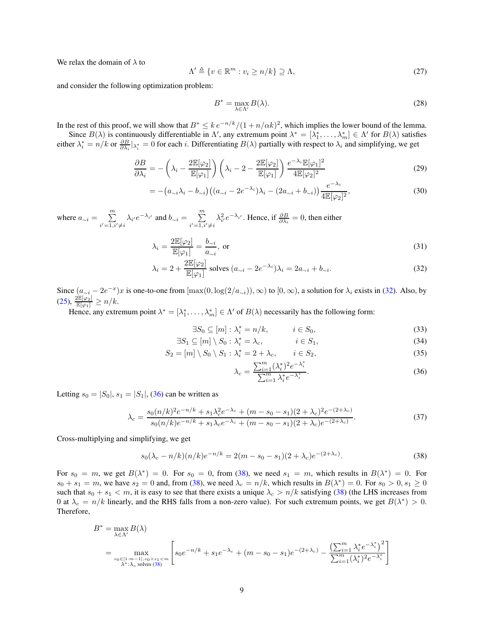We relax the domain of *λ* to

$$
\Lambda' \triangleq \{ v \in \mathbb{R}^m : v_i \ge n/k \} \supseteq \Lambda,
$$
\n(27)

and consider the following optimization problem:

$$
B^* = \max_{\lambda \in \Lambda'} B(\lambda). \tag{28}
$$

In the rest of this proof, we will show that  $B^* \leq k e^{-n/k} / (1 + n/\alpha k)^2$ , which implies the lower bound of the lemma.

Since  $B(\lambda)$  is continuously differentiable in  $\Lambda'$ , any extremum point  $\lambda^* = [\lambda_1^*, \ldots, \lambda_m^*] \in \Lambda'$  for  $B(\lambda)$  satisfies either  $\lambda_i^* = n/k$  or  $\frac{\partial B}{\partial \lambda_i} |_{\lambda_i^*} = 0$  for each *i*. Differentiating  $B(\lambda)$  partially with respect to  $\lambda_i$  and simplifying, we get

$$
\frac{\partial B}{\partial \lambda_i} = -\left(\lambda_i - \frac{2\mathbb{E}[\varphi_2]}{\mathbb{E}[\varphi_1]}\right) \left(\lambda_i - 2 - \frac{2\mathbb{E}[\varphi_2]}{\mathbb{E}[\varphi_1]}\right) \frac{e^{-\lambda_i} \mathbb{E}[\varphi_1]^2}{4\mathbb{E}[\varphi_2]^2}
$$
(29)

$$
= -\left(a_{\sim i}\lambda_i - b_{\sim i}\right)\left((a_{\sim i} - 2e^{-\lambda_i})\lambda_i - (2a_{\sim i} + b_{\sim i})\right)\frac{e^{-\lambda_i}}{4\mathbb{E}[\varphi_2]^2},\tag{30}
$$

where  $a_{\sim i} = \sum_{i=1}^{m}$  $\sum_{i'=1,i'\neq i}^{m} \lambda_{i'} e^{-\lambda_{i'}}$  and  $b_{\sim i} = \sum_{i'=1,i}^{m}$  $i'=1, i'\neq i$  $\lambda_i^2 e^{-\lambda_i t}$ . Hence, if  $\frac{\partial B}{\partial \lambda_i} = 0$ , then either

$$
\lambda_i = \frac{2\mathbb{E}[\varphi_2]}{\mathbb{E}[\varphi_1]} = \frac{b_{\sim i}}{a_{\sim i}}, \text{ or } (31)
$$

$$
\lambda_i = 2 + \frac{2\mathbb{E}[\varphi_2]}{\mathbb{E}[\varphi_1]} \text{ solves } (a_{\sim i} - 2e^{-\lambda_i})\lambda_i = 2a_{\sim i} + b_{\sim i}.
$$
 (32)

Since  $(a_{\sim i} - 2e^{-x})x$  is one-to-one from  $[\max(0, \log(2/a_{\sim i})), \infty)$  to  $[0, \infty)$ , a solution for  $\lambda_i$  exists in [\(32\)](#page-8-0). Also, by  $(25),\,\frac{2\mathbb{E}[\varphi_{2}]}{\mathbb{E}[\varphi_{1}]}\geq n/k.$  $(25),\,\frac{2\mathbb{E}[\varphi_{2}]}{\mathbb{E}[\varphi_{1}]}\geq n/k.$ 

Hence, any extremum point  $\lambda^* = [\lambda_1^*, \dots, \lambda_m^*] \in \Lambda'$  of  $B(\lambda)$  necessarily has the following form:

$$
\exists S_0 \subseteq [m]: \lambda_i^* = n/k, \qquad i \in S_0,\tag{33}
$$

$$
\exists S_1 \subseteq [m] \setminus S_0 : \lambda_i^* = \lambda_c, \qquad i \in S_1,
$$
\n(34)

$$
S_2 = [m] \setminus S_0 \setminus S_1 : \lambda_i^* = 2 + \lambda_c, \qquad i \in S_2,
$$
\n
$$
(35)
$$

<span id="page-8-2"></span><span id="page-8-1"></span><span id="page-8-0"></span>
$$
\lambda_c = \frac{\sum_{i=1}^m (\lambda_i^*)^2 e^{-\lambda_i^*}}{\sum_{i=1}^m \lambda_i^* e^{-\lambda_i^*}}.
$$
\n(36)

Letting  $s_0 = |S_0|, s_1 = |S_1|, (36)$  $s_0 = |S_0|, s_1 = |S_1|, (36)$  can be written as

$$
\lambda_c = \frac{s_0(n/k)^2 e^{-n/k} + s_1 \lambda_c^2 e^{-\lambda_c} + (m - s_0 - s_1)(2 + \lambda_c)^2 e^{-(2 + \lambda_c)}}{s_0(n/k) e^{-n/k} + s_1 \lambda_c e^{-\lambda_c} + (m - s_0 - s_1)(2 + \lambda_c) e^{-(2 + \lambda_c)}}.
$$
\n(37)

Cross-multiplying and simplifying, we get

$$
s_0(\lambda_c - n/k)(n/k)e^{-n/k} = 2(m - s_0 - s_1)(2 + \lambda_c)e^{-(2 + \lambda_c)}.
$$
\n(38)

For  $s_0 = m$ , we get  $B(\lambda^*) = 0$ . For  $s_0 = 0$ , from [\(38\)](#page-8-2), we need  $s_1 = m$ , which results in  $B(\lambda^*) = 0$ . For  $s_0 + s_1 = m$ , we have  $s_2 = 0$  and, from [\(38\)](#page-8-2), we need  $\lambda_c = n/k$ , which results in  $B(\lambda^*) = 0$ . For  $s_0 > 0, s_1 \ge 0$ such that  $s_0 + s_1 < m$ , it is easy to see that there exists a unique  $\lambda_c > n/k$  satisfying [\(38\)](#page-8-2) (the LHS increases from 0 at  $\lambda_c = n/k$  linearly, and the RHS falls from a non-zero value). For such extremum points, we get  $B(\lambda^*) > 0$ . Therefore,

$$
B^* = \max_{\lambda \in \Lambda'} B(\lambda)
$$
  
= 
$$
\max_{\substack{s_0 \in \{1:m-1\}, s_0+s_1 < m \\ \lambda^*: \lambda_c \text{ solves (38)}}} \left[ s_0 e^{-n/k} + s_1 e^{-\lambda_c} + (m - s_0 - s_1) e^{-(2 + \lambda_c)} - \frac{\left(\sum_{i=1}^m \lambda_i^* e^{-\lambda_i^*}\right)^2}{\sum_{i=1}^m (\lambda_i^*)^2 e^{-\lambda_i^*}} \right]
$$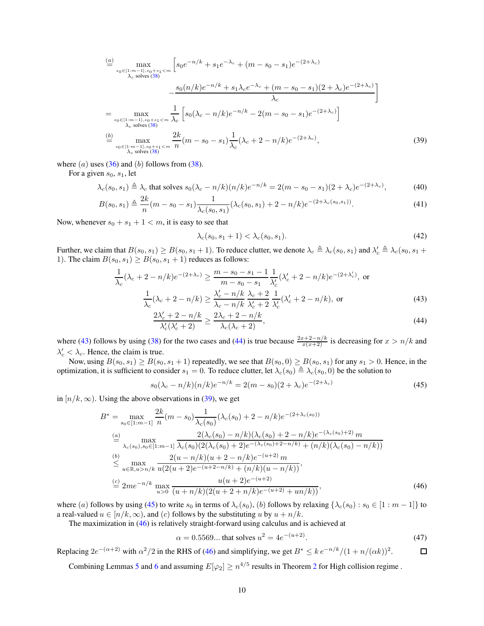$$
\frac{\sum_{s_0 \in [1:m-1], s_0+s_1 < m} \left[ s_0 e^{-n/k} + s_1 e^{-\lambda_c} + (m - s_0 - s_1) e^{-(2 + \lambda_c)} \right]}{\lambda_c \text{ solves (38)}} - \frac{s_0(n/k) e^{-n/k} + s_1 \lambda_c e^{-\lambda_c} + (m - s_0 - s_1)(2 + \lambda_c) e^{-(2 + \lambda_c)}}{\lambda_c} \right]
$$
\n
$$
= \max_{\substack{s_0 \in [1:m-1], s_0+s_1 < m \\ \lambda_c \text{ solves (38)}}} \frac{1}{\lambda_c} \left[ s_0(\lambda_c - n/k) e^{-n/k} - 2(m - s_0 - s_1) e^{-(2 + \lambda_c)} \right]
$$
\n
$$
\stackrel{(b)}{=} \max_{\substack{s_0 \in [1:m-1], s_0+s_1 < m \\ \lambda_c \text{ solves (38)}}} \frac{2k}{n} (m - s_0 - s_1) \frac{1}{\lambda_c} (\lambda_c + 2 - n/k) e^{-(2 + \lambda_c)},\tag{39}
$$

where  $(a)$  uses  $(36)$  and  $(b)$  follows from  $(38)$ .

For a given *s*0, *s*1, let

$$
\lambda_c(s_0, s_1) \triangleq \lambda_c \text{ that solves } s_0(\lambda_c - n/k)(n/k)e^{-n/k} = 2(m - s_0 - s_1)(2 + \lambda_c)e^{-(2 + \lambda_c)},\tag{40}
$$

$$
B(s_0, s_1) \triangleq \frac{2k}{n}(m - s_0 - s_1) \frac{1}{\lambda_c(s_0, s_1)} (\lambda_c(s_0, s_1) + 2 - n/k)e^{-(2 + \lambda_c(s_0, s_1))}.
$$
\n
$$
(41)
$$

Now, whenever  $s_0 + s_1 + 1 < m$ , it is easy to see that

<span id="page-9-2"></span><span id="page-9-1"></span><span id="page-9-0"></span>
$$
\lambda_c(s_0, s_1 + 1) < \lambda_c(s_0, s_1). \tag{42}
$$

Further, we claim that  $B(s_0, s_1) \ge B(s_0, s_1 + 1)$ . To reduce clutter, we denote  $\lambda_c \triangleq \lambda_c(s_0, s_1)$  and  $\lambda_c' \triangleq \lambda_c(s_0, s_1 + 1)$ . 1). The claim  $B(s_0, s_1) \ge B(s_0, s_1 + 1)$  reduces as follows:

$$
\frac{1}{\lambda_c}(\lambda_c + 2 - n/k)e^{-(2+\lambda_c)} \ge \frac{m - s_0 - s_1 - 1}{m - s_0 - s_1} \frac{1}{\lambda_c'}(\lambda_c' + 2 - n/k)e^{-(2+\lambda_c')}
$$
, or  

$$
\frac{1}{\lambda_c}(\lambda_c + 2 - n/k) \ge \frac{\lambda_c' - n/k}{\lambda_c - n/k} \frac{\lambda_c + 2}{\lambda_c' + 2} \frac{1}{\lambda_c'}(\lambda_c' + 2 - n/k),
$$
or (43)

$$
\frac{2\lambda_c' + 2 - n/k}{\lambda_c'(\lambda_c' + 2)} \ge \frac{2\lambda_c + 2 - n/k}{\lambda_c(\lambda_c + 2)},\tag{44}
$$

where [\(43\)](#page-9-0) follows by using [\(38\)](#page-8-2) for the two cases and [\(44\)](#page-9-1) is true because  $\frac{2x+2-n/k}{x(x+2)}$  is decreasing for  $x > n/k$  and  $\lambda_c' < \lambda_c$ . Hence, the claim is true.

Now, using  $B(s_0, s_1) \ge B(s_0, s_1 + 1)$  repeatedly, we see that  $B(s_0, 0) \ge B(s_0, s_1)$  for any  $s_1 > 0$ . Hence, in the optimization, it is sufficient to consider  $s_1 = 0$ . To reduce clutter, let  $\lambda_c(s_0) \triangleq \lambda_c(s_0, 0)$  be the solution to

<span id="page-9-3"></span>
$$
s_0(\lambda_c - n/k)(n/k)e^{-n/k} = 2(m - s_0)(2 + \lambda_c)e^{-(2 + \lambda_c)}
$$
\n(45)

in  $[n/k, \infty)$ . Using the above observations in [\(39\)](#page-9-2), we get

$$
B^* = \max_{s_0 \in [1:m-1]} \frac{2k}{n} (m - s_0) \frac{1}{\lambda_c(s_0)} (\lambda_c(s_0) + 2 - n/k) e^{-(2 + \lambda_c(s_0))}
$$
  
\n
$$
\stackrel{(a)}{=} \max_{\lambda_c(s_0), s_0 \in [1:m-1]} \frac{2(\lambda_c(s_0) - n/k)(\lambda_c(s_0) + 2 - n/k) e^{-(\lambda_c(s_0) + 2)} m}{\lambda_c(s_0), s_0 \in [1:m-1]} \frac{2(\lambda_c(s_0) + 2) e^{-(\lambda_c(s_0) + 2 - n/k)} + (n/k)(\lambda_c(s_0) - n/k))}{\lambda_c(s_0) e^{-(u - 1/k)} (m + 2 - n/k) e^{-(u + 2) m}}
$$
  
\n
$$
\stackrel{(b)}{\leq} \max_{u \in \mathbb{R}, u > n/k} \frac{2(u - n/k)(u + 2 - n/k) e^{-(u + 2)}}{u(u + 2)e^{-(u + 2)}}
$$
  
\n
$$
\stackrel{(c)}{=} 2me^{-n/k} \max_{u > 0} \frac{u(u + 2)e^{-(u + 2)}}{(u + n/k)(2(u + 2 + n/k)e^{-(u + 2)} + un/k)},
$$
  
\n(46)

where (*a*) follows by using [\(45\)](#page-9-3) to write  $s_0$  in terms of  $\lambda_c(s_0)$ , (*b*) follows by relaxing  $\{\lambda_c(s_0): s_0 \in [1 : m - 1]\}$  to a real-valued  $u \in [n/k, \infty)$ , and (*c*) follows by the substituting *u* by  $u + n/k$ .

The maximization in [\(46\)](#page-9-4) is relatively straight-forward using calculus and is achieved at

<span id="page-9-4"></span>
$$
\alpha = 0.5569... \text{ that solves } u^2 = 4e^{-(u+2)}.
$$
 (47)

Replacing  $2e^{-(\alpha+2)}$  with  $\alpha^2/2$  in the RHS of [\(46\)](#page-9-4) and simplifying, we get  $B^* \leq k e^{-n/k}/(1 + n/(\alpha k))^2$ .  $\Box$ 

Combining Lemmas [5](#page-5-6) and [6](#page-7-3) and assuming  $E[\varphi_2] \ge n^{4/5}$  $E[\varphi_2] \ge n^{4/5}$  $E[\varphi_2] \ge n^{4/5}$  results in Theorem 2 for High collision regime.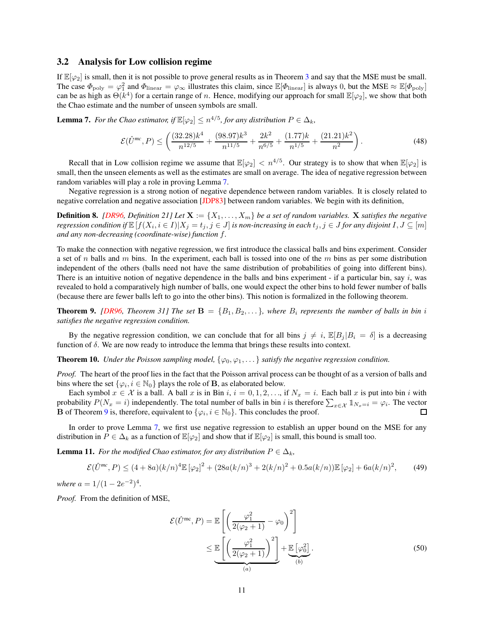#### 3.2 Analysis for Low collision regime

If  $\mathbb{E}[\varphi_2]$  is small, then it is not possible to prove general results as in Theorem [3](#page-5-0) and say that the MSE must be small. The case  $\Phi_{\text{poly}} = \varphi_1^2$  and  $\Phi_{\text{linear}} = \varphi_{\infty}$  illustrates this claim, since  $\mathbb{E}[\Phi_{\text{linear}}]$  is always 0, but the MSE  $\approx \mathbb{E}[\Phi_{\text{poly}}]$ can be as high as  $\Theta(k^4)$  for a certain range of *n*. Hence, modifying our approach for small  $\mathbb{E}[\varphi_2]$ , we show that both the Chao estimate and the number of unseen symbols are small.

<span id="page-10-0"></span>**Lemma 7.** *For the Chao estimator, if*  $\mathbb{E}[\varphi_2] \leq n^{4/5}$ *, for any distribution*  $P \in \Delta_k$ *,* 

$$
\mathcal{E}(\hat{U}^{mc}, P) \le \left(\frac{(32.28)k^4}{n^{12/5}} + \frac{(98.97)k^3}{n^{11/5}} + \frac{2k^2}{n^{6/5}} + \frac{(1.77)k}{n^{1/5}} + \frac{(21.21)k^2}{n^2}\right). \tag{48}
$$

Recall that in Low collision regime we assume that  $\mathbb{E}[\varphi_2] < n^{4/5}$ . Our strategy is to show that when  $\mathbb{E}[\varphi_2]$  is small, then the unseen elements as well as the estimates are small on average. The idea of negative regression between random variables will play a role in proving Lemma [7.](#page-10-0)

Negative regression is a strong notion of negative dependence between random variables. It is closely related to negative correlation and negative association [\[JDP83\]](#page-14-15) between random variables. We begin with its definition,

**Definition 8.** [\[DR96,](#page-14-16) Definition 21] Let  $\mathbf{X} := \{X_1, \ldots, X_m\}$  be a set of random variables. **X** satisfies the negative regression condition if  $\mathbb{E}\left[f(X_i, i\in I)|X_j=t_j, j\in J\right]$  is non-increasing in each  $t_j, j\in J$  for any disjoint  $I,J\subseteq[m]$ *and any non-decreasing (coordinate-wise) function f.*

To make the connection with negative regression, we first introduce the classical balls and bins experiment. Consider a set of *n* balls and *m* bins. In the experiment, each ball is tossed into one of the *m* bins as per some distribution independent of the others (balls need not have the same distribution of probabilities of going into different bins). There is an intuitive notion of negative dependence in the balls and bins experiment - if a particular bin, say *i*, was revealed to hold a comparatively high number of balls, one would expect the other bins to hold fewer number of balls (because there are fewer balls left to go into the other bins). This notion is formalized in the following theorem.

<span id="page-10-1"></span>**Theorem 9.** *[\[DR96,](#page-14-16) Theorem 31] The set*  $\mathbf{B} = \{B_1, B_2, \ldots\}$ *, where*  $B_i$  *represents the number of balls in bin i satisfies the negative regression condition.*

By the negative regression condition, we can conclude that for all bins  $j \neq i$ ,  $\mathbb{E}[B_j | B_i = \delta]$  is a decreasing function of *δ*. We are now ready to introduce the lemma that brings these results into context.

**Theorem 10.** *Under the Poisson sampling model,*  $\{\varphi_0, \varphi_1, \ldots\}$  *satisfy the negative regression condition.* 

*Proof.* The heart of the proof lies in the fact that the Poisson arrival process can be thought of as a version of balls and bins where the set  $\{\varphi_i, i \in \mathbb{N}_0\}$  plays the role of **B**, as elaborated below.

Each symbol  $x \in \mathcal{X}$  is a ball. A ball x is in Bin  $i, i = 0, 1, 2, \ldots$ , if  $N_x = i$ . Each ball x is put into bin *i* with probability  $P(N_x = i)$  independently. The total number of balls in bin *i* is therefore  $\sum_{x \in \mathcal{X}} 1\!\!1_{N_x=i} = \varphi_i$ . The vector **B** of Theorem [9](#page-10-1) is, therefore, equivalent to  $\{\varphi_i, i \in \mathbb{N}_0\}$ . This concludes the proof.  $\Box$ 

In order to prove Lemma [7,](#page-10-0) we first use negative regression to establish an upper bound on the MSE for any distribution in  $P \in \Delta_k$  as a function of  $\mathbb{E}[\varphi_2]$  and show that if  $\mathbb{E}[\varphi_2]$  is small, this bound is small too.

<span id="page-10-3"></span>**Lemma 11.** *For the modified Chao estimator, for any distribution*  $P \in \Delta_k$ *,* 

$$
\mathcal{E}(\hat{U}^{mc}, P) \le (4 + 8a)(k/n)^4 \mathbb{E}[\varphi_2]^2 + (28a(k/n)^3 + 2(k/n)^2 + 0.5a(k/n)) \mathbb{E}[\varphi_2] + 6a(k/n)^2, \tag{49}
$$

*where*  $a = 1/(1 - 2e^{-2})^4$ .

*Proof.* From the definition of MSE,

<span id="page-10-2"></span>
$$
\mathcal{E}(\hat{U}^{\text{mc}}, P) = \mathbb{E}\left[\left(\frac{\varphi_1^2}{2(\varphi_2 + 1)} - \varphi_0\right)^2\right]
$$

$$
\leq \underbrace{\mathbb{E}\left[\left(\frac{\varphi_1^2}{2(\varphi_2 + 1)}\right)^2\right]}_{(a)} + \underbrace{\mathbb{E}\left[\varphi_0^2\right]}_{(b)}.
$$
(50)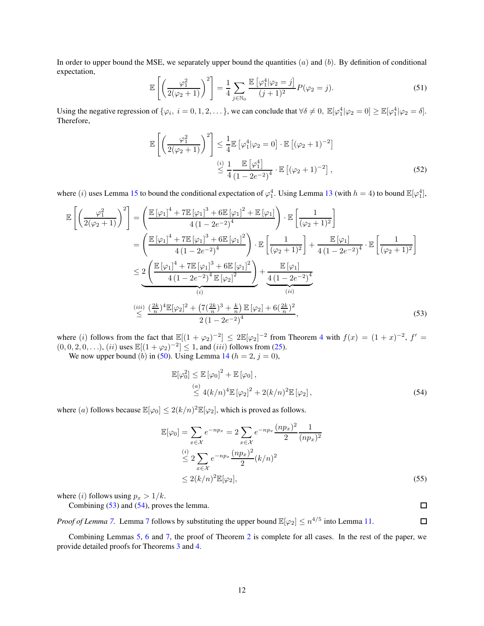In order to upper bound the MSE, we separately upper bound the quantities (*a*) and (*b*). By definition of conditional expectation,

$$
\mathbb{E}\left[\left(\frac{\varphi_1^2}{2(\varphi_2+1)}\right)^2\right] = \frac{1}{4} \sum_{j \in \mathbb{N}_0} \frac{\mathbb{E}\left[\varphi_1^4 | \varphi_2 = j\right]}{(j+1)^2} P(\varphi_2 = j).
$$
 (51)

Using the negative regression of  $\{\varphi_i, i = 0, 1, 2, ...\}$ , we can conclude that  $\forall \delta \neq 0$ ,  $\mathbb{E}[\varphi_1^4 | \varphi_2 = 0] \geq \mathbb{E}[\varphi_1^4 | \varphi_2 = \delta].$ Therefore,

$$
\mathbb{E}\left[\left(\frac{\varphi_1^2}{2(\varphi_2+1)}\right)^2\right] \le \frac{1}{4} \mathbb{E}\left[\varphi_1^4|\varphi_2=0\right] \cdot \mathbb{E}\left[(\varphi_2+1)^{-2}\right]
$$
\n
$$
\stackrel{(i)}{\leq} \frac{1}{4} \frac{\mathbb{E}\left[\varphi_1^4\right]}{\left(1-2e^{-2}\right)^4} \cdot \mathbb{E}\left[(\varphi_2+1)^{-2}\right],
$$
\n(52)

where (*i*) uses Lemma [15](#page-18-0) to bound the conditional expectation of  $\varphi_1^4$ . Using Lemma [13](#page-16-0) (with  $h = 4$ ) to bound  $\mathbb{E}[\varphi_1^4]$ ,

$$
\mathbb{E}\left[\left(\frac{\varphi_1^2}{2(\varphi_2+1)}\right)^2\right] = \left(\frac{\mathbb{E}\left[\varphi_1\right]^4 + 7\mathbb{E}\left[\varphi_1\right]^3 + 6\mathbb{E}\left[\varphi_1\right]^2 + \mathbb{E}\left[\varphi_1\right]}{4\left(1 - 2e^{-2}\right)^4}\right) \cdot \mathbb{E}\left[\frac{1}{(\varphi_2+1)^2}\right] \n= \left(\frac{\mathbb{E}\left[\varphi_1\right]^4 + 7\mathbb{E}\left[\varphi_1\right]^3 + 6\mathbb{E}\left[\varphi_1\right]^2}{4\left(1 - 2e^{-2}\right)^4}\right) \cdot \mathbb{E}\left[\frac{1}{(\varphi_2+1)^2}\right] + \frac{\mathbb{E}\left[\varphi_1\right]}{4\left(1 - 2e^{-2}\right)^4} \cdot \mathbb{E}\left[\frac{1}{(\varphi_2+1)^2}\right] \n\leq \underbrace{2\left(\frac{\mathbb{E}\left[\varphi_1\right]^4 + 7\mathbb{E}\left[\varphi_1\right]^3 + 6\mathbb{E}\left[\varphi_1\right]^2}{4\left(1 - 2e^{-2}\right)^4 \mathbb{E}\left[\varphi_2\right]^2}\right)}_{(i)} + \underbrace{\frac{\mathbb{E}\left[\varphi_1\right]}{4\left(1 - 2e^{-2}\right)^4}}_{(ii)} \n\stackrel{(iii)}{\leq} \frac{\left(\frac{2k}{n}\right)^4 \mathbb{E}\left[\varphi_2\right]^2 + \left(7\left(\frac{2k}{n}\right)^3 + \frac{k}{n}\right) \mathbb{E}\left[\varphi_2\right] + 6\left(\frac{2k}{n}\right)^2}{2\left(1 - 2e^{-2}\right)^4},
$$
\n(53)

where (*i*) follows from the fact that  $\mathbb{E}[(1 + \varphi_2)^{-2}] \leq 2\mathbb{E}[\varphi_2]^{-2}$  from Theorem [4](#page-5-2) with  $f(x) = (1 + x)^{-2}$ ,  $f' =$  $(0, 0, 2, 0, \ldots), (ii)$  uses  $\mathbb{E}[(1 + \varphi_2)^{-2}] \leq 1$ , and  $(iii)$  follows from [\(25\)](#page-7-1).

We now upper bound (*b*) in [\(50\)](#page-10-2). Using Lemma [14](#page-17-0) ( $h = 2$ ,  $j = 0$ ),

$$
\mathbb{E}[\varphi_0^2] \le \mathbb{E}[\varphi_0]^2 + \mathbb{E}[\varphi_0],
$$
  
\n
$$
\le \frac{a}{4(k/n)^4} \mathbb{E}[\varphi_2]^2 + 2(k/n)^2 \mathbb{E}[\varphi_2],
$$
\n(54)

where (*a*) follows because  $\mathbb{E}[\varphi_0] \leq 2(k/n)^2 \mathbb{E}[\varphi_2]$ , which is proved as follows.

$$
\mathbb{E}[\varphi_0] = \sum_{x \in \mathcal{X}} e^{-np_x} = 2 \sum_{x \in \mathcal{X}} e^{-np_x} \frac{(np_x)^2}{2} \frac{1}{(np_x)^2} \n\leq 2 \sum_{x \in \mathcal{X}} e^{-np_x} \frac{(np_x)^2}{2} (k/n)^2 \n\leq 2(k/n)^2 \mathbb{E}[\varphi_2],
$$
\n(55)

where (*i*) follows using  $p_x > 1/k$ . Combining [\(53\)](#page-11-0) and [\(54\)](#page-11-1), proves the lemma.

<span id="page-11-1"></span><span id="page-11-0"></span> $\Box$ 

*Proof of Lemma* [7.](#page-10-0) Lemma [7](#page-10-0) follows by substituting the upper bound  $\mathbb{E}[\varphi_2] \leq n^{4/5}$  into Lemma [11.](#page-10-3)  $\Box$ 

Combining Lemmas [5,](#page-5-6) [6](#page-7-3) and [7,](#page-10-0) the proof of Theorem [2](#page-3-0) is complete for all cases. In the rest of the paper, we provide detailed proofs for Theorems [3](#page-5-0) and [4.](#page-5-2)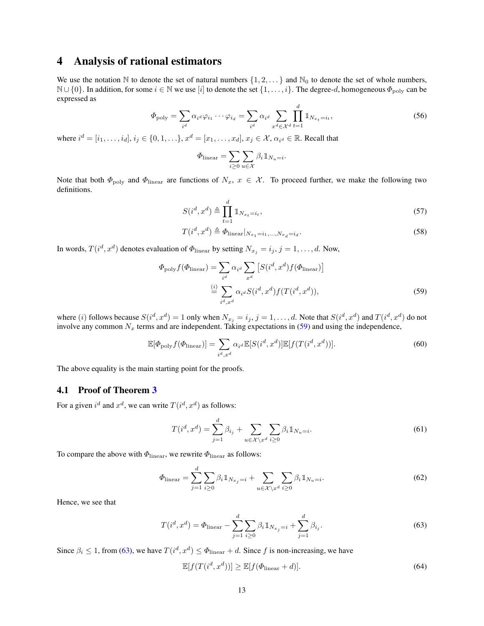## <span id="page-12-0"></span>4 Analysis of rational estimators

We use the notation  $\mathbb N$  to denote the set of natural numbers  $\{1, 2, \ldots\}$  and  $\mathbb N_0$  to denote the set of whole numbers, <sup>N</sup> ∪ {0}. In addition, for some *<sup>i</sup>* <sup>∈</sup> <sup>N</sup> we use [*i*] to denote the set {1*, . . . , i*}. The degree-*d*, homogeneous *<sup>Φ</sup>*poly can be expressed as

$$
\Phi_{\text{poly}} = \sum_{i^d} \alpha_{i^d} \varphi_{i_1} \cdots \varphi_{i_d} = \sum_{i^d} \alpha_{i^d} \sum_{x^d \in \mathcal{X}^d} \prod_{t=1}^d \mathbb{1}_{N_{x_t} = i_t},\tag{56}
$$

where  $i^d = [i_1, ..., i_d], i_j \in \{0, 1, ..., \}$ ,  $x^d = [x_1, ..., x_d], x_j \in \mathcal{X}$ ,  $\alpha_{i^d} \in \mathbb{R}$ . Recall that

$$
\Phi_{\text{linear}} = \sum_{i \geq 0} \sum_{u \in \mathcal{X}} \beta_i \mathbb{1}_{N_u = i}.
$$

Note that both  $\Phi_{\text{poly}}$  and  $\Phi_{\text{linear}}$  are functions of  $N_x$ ,  $x \in \mathcal{X}$ . To proceed further, we make the following two definitions.

$$
S(i^d, x^d) \triangleq \prod_{t=1}^d \mathbb{1}_{N_{x_t} = i_t},\tag{57}
$$

<span id="page-12-1"></span>
$$
T(i^d, x^d) \triangleq \Phi_{\text{linear}}|_{N_{x_1} = i_1, \dots, N_{x_d} = i_d}.
$$
\n
$$
(58)
$$

In words,  $T(i^d, x^d)$  denotes evaluation of  $\Phi_{\text{linear}}$  by setting  $N_{x_j} = i_j, j = 1, \ldots, d$ . Now,

$$
\Phi_{\text{poly}} f(\Phi_{\text{linear}}) = \sum_{i^d} \alpha_{i^d} \sum_{x^d} \left[ S(i^d, x^d) f(\Phi_{\text{linear}}) \right]
$$

$$
\stackrel{(i)}{=} \sum_{i^d, x^d} \alpha_{i^d} S(i^d, x^d) f(T(i^d, x^d)), \tag{59}
$$

where  $(i)$  follows because  $S(i^d, x^d) = 1$  only when  $N_{x_j} = i_j$ ,  $j = 1, ..., d$ . Note that  $S(i^d, x^d)$  and  $T(i^d, x^d)$  do not involve any common  $N_x$  terms and are independent. Taking expectations in [\(59\)](#page-12-1) and using the independence,

<span id="page-12-3"></span>
$$
\mathbb{E}[\Phi_{\text{poly}}f(\Phi_{\text{linear}})] = \sum_{i^d, x^d} \alpha_{i^d} \mathbb{E}[S(i^d, x^d)] \mathbb{E}[f(T(i^d, x^d))].
$$
 (60)

The above equality is the main starting point for the proofs.

### 4.1 Proof of Theorem [3](#page-5-0)

For a given  $i^d$  and  $x^d$ , we can write  $T(i^d, x^d)$  as follows:

$$
T(i^d, x^d) = \sum_{j=1}^d \beta_{i_j} + \sum_{u \in \mathcal{X} \setminus x^d} \sum_{i \ge 0} \beta_i \mathbb{1}_{N_u = i}.
$$
 (61)

To compare the above with *Φ*linear, we rewrite *Φ*linear as follows:

$$
\Phi_{\text{linear}} = \sum_{j=1}^{d} \sum_{i \ge 0} \beta_i \mathbb{1}_{N_{x_j} = i} + \sum_{u \in \mathcal{X} \setminus x^d} \sum_{i \ge 0} \beta_i \mathbb{1}_{N_u = i}.
$$
\n(62)

Hence, we see that

$$
T(i^d, x^d) = \Phi_{\text{linear}} - \sum_{j=1}^d \sum_{i \ge 0} \beta_i \mathbb{1}_{N_{x_j} = i} + \sum_{j=1}^d \beta_{i_j}.
$$
 (63)

Since  $\beta_i \leq 1$ , from [\(63\)](#page-12-2), we have  $T(i^d, x^d) \leq \Phi_{\text{linear}} + d$ . Since f is non-increasing, we have

<span id="page-12-2"></span>
$$
\mathbb{E}[f(T(i^d, x^d))] \ge \mathbb{E}[f(\Phi_{\text{linear}} + d)].\tag{64}
$$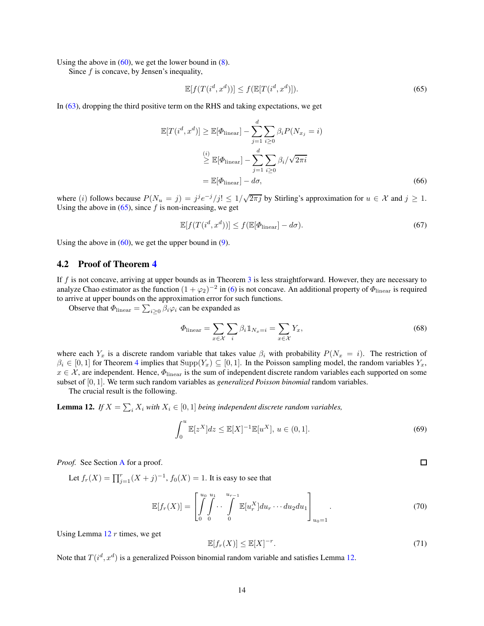Using the above in  $(60)$ , we get the lower bound in  $(8)$ .

Since *f* is concave, by Jensen's inequality,

<span id="page-13-0"></span>
$$
\mathbb{E}[f(T(i^d, x^d))] \le f(\mathbb{E}[T(i^d, x^d)]). \tag{65}
$$

In [\(63\)](#page-12-2), dropping the third positive term on the RHS and taking expectations, we get

$$
\mathbb{E}[T(i^d, x^d)] \geq \mathbb{E}[\Phi_{\text{linear}}] - \sum_{j=1}^d \sum_{i \geq 0} \beta_i P(N_{x_j} = i)
$$
  

$$
\stackrel{(i)}{\geq} \mathbb{E}[\Phi_{\text{linear}}] - \sum_{j=1}^d \sum_{i \geq 0} \beta_i / \sqrt{2\pi i}
$$
  

$$
= \mathbb{E}[\Phi_{\text{linear}}] - d\sigma,
$$
 (66)

where (*i*) follows because  $P(N_u = j) = j^j e^{-j}/j! \leq 1/\sqrt{2\pi j}$  by Stirling's approximation for  $u \in \mathcal{X}$  and  $j \geq 1$ . Using the above in  $(65)$ , since  $f$  is non-increasing, we get

<span id="page-13-3"></span>
$$
\mathbb{E}[f(T(i^d, x^d))] \le f(\mathbb{E}[\Phi_{\text{linear}}] - d\sigma). \tag{67}
$$

Using the above in  $(60)$ , we get the upper bound in  $(9)$ .

#### 4.2 Proof of Theorem [4](#page-5-2)

If *f* is not concave, arriving at upper bounds as in Theorem [3](#page-5-0) is less straightforward. However, they are necessary to analyze Chao estimator as the function  $(1+\varphi_2)^{-2}$  in [\(6\)](#page-3-1) is not concave. An additional property of  $\Phi_{\rm linear}$  is required to arrive at upper bounds on the approximation error for such functions.

Observe that  $\Phi_{\text{linear}} = \sum_{i \geq 0} \beta_i \varphi_i$  can be expanded as

$$
\Phi_{\text{linear}} = \sum_{x \in \mathcal{X}} \sum_{i} \beta_i 1\!\!1_{N_x = i} = \sum_{x \in \mathcal{X}} Y_x,\tag{68}
$$

where each  $Y_x$  is a discrete random variable that takes value  $\beta_i$  with probability  $P(N_x = i)$ . The restriction of  $\beta_i \in [0,1]$  for Theorem [4](#page-5-2) implies that  $\text{Supp}(Y_x) \subseteq [0,1]$ . In the Poisson sampling model, the random variables  $Y_x$ ,  $x \in \mathcal{X}$ , are independent. Hence,  $\Phi_{\text{linear}}$  is the sum of independent discrete random variables each supported on some subset of [0*,* 1]. We term such random variables as *generalized Poisson binomial* random variables.

The crucial result is the following.

**Lemma 12.** *If*  $X = \sum_i X_i$  with  $X_i \in [0,1]$  *being independent discrete random variables,* 

<span id="page-13-1"></span>
$$
\int_0^u \mathbb{E}[z^X]dz \le \mathbb{E}[X]^{-1}\mathbb{E}[u^X], \ u \in (0,1].
$$
 (69)

*Proof.* See Section [A](#page-15-9) for a proof.

Let  $f_r(X) = \prod_{j=1}^r (X + j)^{-1}$ ,  $f_0(X) = 1$ . It is easy to see that

$$
\mathbb{E}[f_r(X)] = \left[\int_{0}^{u_0} \int_{0}^{u_1} \cdots \int_{0}^{u_{r-1}} \mathbb{E}[u_r^X] du_r \cdots du_2 du_1\right]_{u_0=1}.
$$
 (70)

Using Lemma [12](#page-13-1) *r* times, we get

<span id="page-13-2"></span>
$$
\mathbb{E}[f_r(X)] \le \mathbb{E}[X]^{-r}.\tag{71}
$$

 $\Box$ 

Note that  $T(i^d, x^d)$  is a generalized Poisson binomial random variable and satisfies Lemma [12.](#page-13-1)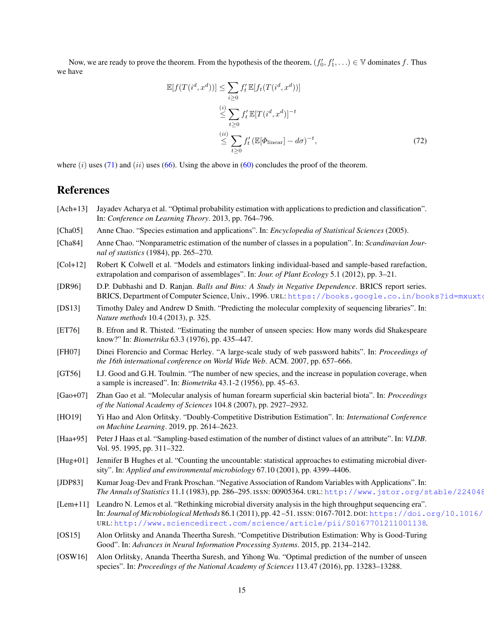Now, we are ready to prove the theorem. From the hypothesis of the theorem,  $(f'_0, f'_1, \ldots) \in \mathbb{V}$  dominates *f*. Thus we have

$$
\mathbb{E}[f(T(i^d, x^d))] \leq \sum_{i \geq 0} f'_t \mathbb{E}[f_t(T(i^d, x^d))]
$$
  

$$
\leq \sum_{t \geq 0} f'_t \mathbb{E}[T(i^d, x^d)]^{-t}
$$
  

$$
\leq \sum_{t \geq 0} f'_t (\mathbb{E}[\Phi_{\text{linear}}] - d\sigma)^{-t}, \tag{72}
$$

where (*i*) uses [\(71\)](#page-13-2) and (*ii*) uses [\(66\)](#page-13-3). Using the above in [\(60\)](#page-12-3) concludes the proof of the theorem.

### <span id="page-14-13"></span>References

- [Ach+13] Jayadev Acharya et al. "Optimal probability estimation with applications to prediction and classification". In: *Conference on Learning Theory*. 2013, pp. 764–796.
- <span id="page-14-1"></span><span id="page-14-0"></span>[Cha05] Anne Chao. "Species estimation and applications". In: *Encyclopedia of Statistical Sciences* (2005).
- [Cha84] Anne Chao. "Nonparametric estimation of the number of classes in a population". In: *Scandinavian Journal of statistics* (1984), pp. 265–270.
- <span id="page-14-2"></span>[Col+12] Robert K Colwell et al. "Models and estimators linking individual-based and sample-based rarefaction, extrapolation and comparison of assemblages". In: *Jour. of Plant Ecology* 5.1 (2012), pp. 3–21.
- <span id="page-14-16"></span>[DR96] D.P. Dubhashi and D. Ranjan. *Balls and Bins: A Study in Negative Dependence*. BRICS report series. BRICS, Department of Computer Science, Univ., 1996. URL: https://books.google.co.in/books?id=mxuxt
- <span id="page-14-8"></span>[DS13] Timothy Daley and Andrew D Smith. "Predicting the molecular complexity of sequencing libraries". In: *Nature methods* 10.4 (2013), p. 325.
- <span id="page-14-3"></span>[ET76] B. Efron and R. Thisted. "Estimating the number of unseen species: How many words did Shakespeare know?" In: *Biometrika* 63.3 (1976), pp. 435–447.
- <span id="page-14-5"></span>[FH07] Dinei Florencio and Cormac Herley. "A large-scale study of web password habits". In: *Proceedings of the 16th international conference on World Wide Web*. ACM. 2007, pp. 657–666.
- <span id="page-14-10"></span>[GT56] I.J. Good and G.H. Toulmin. "The number of new species, and the increase in population coverage, when a sample is increased". In: *Biometrika* 43.1-2 (1956), pp. 45–63.
- <span id="page-14-7"></span>[Gao+07] Zhan Gao et al. "Molecular analysis of human forearm superficial skin bacterial biota". In: *Proceedings of the National Academy of Sciences* 104.8 (2007), pp. 2927–2932.
- <span id="page-14-14"></span>[HO19] Yi Hao and Alon Orlitsky. "Doubly-Competitive Distribution Estimation". In: *International Conference on Machine Learning*. 2019, pp. 2614–2623.
- <span id="page-14-4"></span>[Haa+95] Peter J Haas et al. "Sampling-based estimation of the number of distinct values of an attribute". In: *VLDB*. Vol. 95. 1995, pp. 311–322.
- <span id="page-14-6"></span>[Hug+01] Jennifer B Hughes et al. "Counting the uncountable: statistical approaches to estimating microbial diversity". In: *Applied and environmental microbiology* 67.10 (2001), pp. 4399–4406.
- <span id="page-14-15"></span>[JDP83] Kumar Joag-Dev and Frank Proschan. "Negative Association of Random Variables with Applications". In: *The Annals of Statistics* 11.1 (1983), pp. 286–295. ISSN: 00905364. URL: <http://www.jstor.org/stable/2240482>.
- <span id="page-14-9"></span>[Lem+11] Leandro N. Lemos et al. "Rethinking microbial diversity analysis in the high throughput sequencing era". In: *Journal of Microbiological Methods* 86.1 (2011), pp. 42-51. ISSN: 0167-7012. DOI: https://doi.org/10.1016/ URL: <http://www.sciencedirect.com/science/article/pii/S0167701211001138>.
- <span id="page-14-12"></span>[OS15] Alon Orlitsky and Ananda Theertha Suresh. "Competitive Distribution Estimation: Why is Good-Turing Good". In: *Advances in Neural Information Processing Systems*. 2015, pp. 2134–2142.
- <span id="page-14-11"></span>[OSW16] Alon Orlitsky, Ananda Theertha Suresh, and Yihong Wu. "Optimal prediction of the number of unseen species". In: *Proceedings of the National Academy of Sciences* 113.47 (2016), pp. 13283–13288.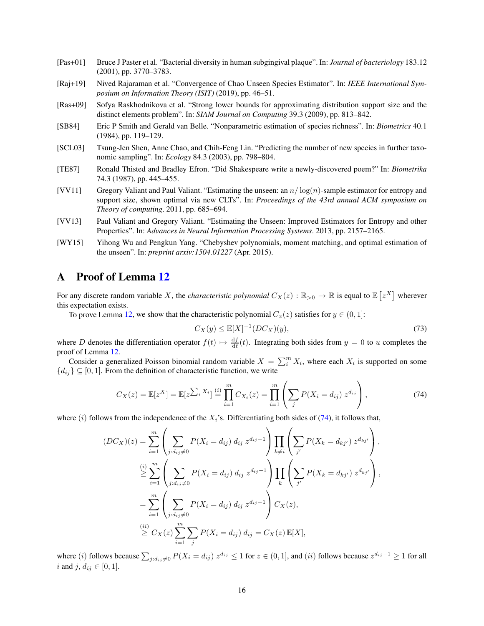- <span id="page-15-3"></span>[Pas+01] Bruce J Paster et al. "Bacterial diversity in human subgingival plaque". In: *Journal of bacteriology* 183.12 (2001), pp. 3770–3783.
- <span id="page-15-4"></span>[Raj+19] Nived Rajaraman et al. "Convergence of Chao Unseen Species Estimator". In: *IEEE International Symposium on Information Theory (ISIT)* (2019), pp. 46–51.
- <span id="page-15-8"></span>[Ras+09] Sofya Raskhodnikova et al. "Strong lower bounds for approximating distribution support size and the distinct elements problem". In: *SIAM Journal on Computing* 39.3 (2009), pp. 813–842.
- <span id="page-15-0"></span>[SB84] Eric P Smith and Gerald van Belle. "Nonparametric estimation of species richness". In: *Biometrics* 40.1 (1984), pp. 119–129.
- <span id="page-15-1"></span>[SCL03] Tsung-Jen Shen, Anne Chao, and Chih-Feng Lin. "Predicting the number of new species in further taxonomic sampling". In: *Ecology* 84.3 (2003), pp. 798–804.
- <span id="page-15-2"></span>[TE87] Ronald Thisted and Bradley Efron. "Did Shakespeare write a newly-discovered poem?" In: *Biometrika* 74.3 (1987), pp. 445–455.
- <span id="page-15-5"></span>[VV11] Gregory Valiant and Paul Valiant. "Estimating the unseen: an *n/* log(*n*)-sample estimator for entropy and support size, shown optimal via new CLTs". In: *Proceedings of the 43rd annual ACM symposium on Theory of computing*. 2011, pp. 685–694.
- <span id="page-15-6"></span>[VV13] Paul Valiant and Gregory Valiant. "Estimating the Unseen: Improved Estimators for Entropy and other Properties". In: *Advances in Neural Information Processing Systems*. 2013, pp. 2157–2165.
- <span id="page-15-7"></span>[WY15] Yihong Wu and Pengkun Yang. "Chebyshev polynomials, moment matching, and optimal estimation of the unseen". In: *preprint arxiv:1504.01227* (Apr. 2015).

## <span id="page-15-9"></span>A Proof of Lemma [12](#page-13-1)

For any discrete random variable X, the *characteristic polynomial*  $C_X(z): \mathbb{R}_{>0} \to \mathbb{R}$  is equal to  $\mathbb{E}[z^X]$  wherever this expectation exists.

To prove Lemma [12,](#page-13-1) we show that the characteristic polynomial  $C_x(z)$  satisfies for  $y \in (0, 1]$ :

$$
C_X(y) \le \mathbb{E}[X]^{-1}(DC_X)(y),\tag{73}
$$

where *D* denotes the differentiation operator  $f(t) \mapsto \frac{df}{dt}(t)$ . Integrating both sides from  $y = 0$  to *u* completes the proof of Lemma [12.](#page-13-1)

Consider a generalized Poisson binomial random variable  $X = \sum_{i=1}^{m} X_i$ , where each  $X_i$  is supported on some  ${d_i} \subseteq [0, 1]$ . From the definition of characteristic function, we write

<span id="page-15-10"></span>
$$
C_X(z) = \mathbb{E}[z^X] = \mathbb{E}[z^{\sum_i X_i}] \stackrel{(i)}{=} \prod_{i=1}^m C_{X_i}(z) = \prod_{i=1}^m \left( \sum_j P(X_i = d_{ij}) z^{d_{ij}} \right), \tag{74}
$$

where  $(i)$  follows from the independence of the  $X_i$ 's. Differentiating both sides of  $(74)$ , it follows that,

$$
(DC_X)(z) = \sum_{i=1}^{m} \left( \sum_{j:d_{ij}\neq 0} P(X_i = d_{ij}) d_{ij} z^{d_{ij}-1} \right) \prod_{k\neq i} \left( \sum_{j'} P(X_k = d_{kj'}) z^{d_{kj'}} \right),
$$
  
\n
$$
\stackrel{(i)}{\geq} \sum_{i=1}^{m} \left( \sum_{j:d_{ij}\neq 0} P(X_i = d_{ij}) d_{ij} z^{d_{ij}-1} \right) \prod_{k} \left( \sum_{j'} P(X_k = d_{kj'}) z^{d_{kj'}} \right),
$$
  
\n
$$
= \sum_{i=1}^{m} \left( \sum_{j:d_{ij}\neq 0} P(X_i = d_{ij}) d_{ij} z^{d_{ij}-1} \right) C_X(z),
$$
  
\n
$$
\stackrel{(ii)}{\geq} C_X(z) \sum_{i=1}^{m} \sum_{j} P(X_i = d_{ij}) d_{ij} = C_X(z) \mathbb{E}[X],
$$

where (*i*) follows because  $\sum_{j:d_{ij}\neq 0} P(X_i = d_{ij}) z^{d_{ij}} \le 1$  for  $z \in (0,1]$ , and (*ii*) follows because  $z^{d_{ij}-1} \ge 1$  for all *i* and *j*,  $d_{ij} \in [0, 1]$ .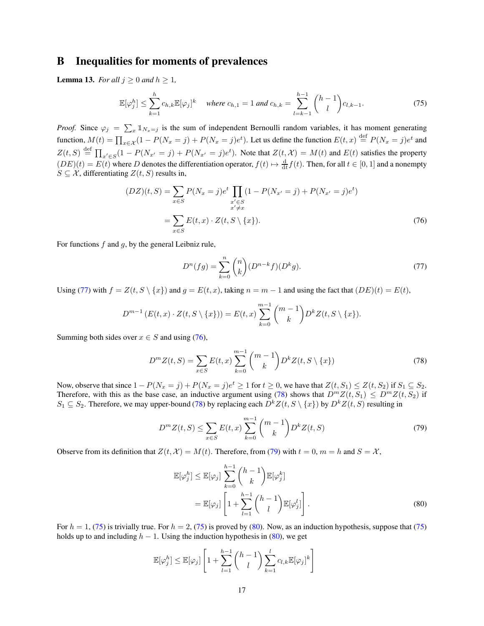## B Inequalities for moments of prevalences

<span id="page-16-0"></span>**Lemma 13.** *For all*  $j \geq 0$  *and*  $h \geq 1$ *,* 

<span id="page-16-5"></span>
$$
\mathbb{E}[\varphi_j^h] \le \sum_{k=1}^h c_{h,k} \mathbb{E}[\varphi_j]^k \quad \text{where } c_{h,1} = 1 \text{ and } c_{h,k} = \sum_{l=k-1}^{h-1} {h-1 \choose l} c_{l,k-1}.
$$
 (75)

*Proof.* Since  $\varphi_j = \sum_x \mathbb{1}_{N_x=j}$  is the sum of independent Bernoulli random variables, it has moment generating function,  $M(t) = \prod_{x \in \mathcal{X}} (1 - P(N_x = j) + P(N_x = j)e^t)$ . Let us define the function  $E(t, x) \stackrel{\text{def}}{=} P(N_x = j)e^t$  and  $Z(t, S) \stackrel{\text{def}}{=} \prod_{x' \in S} (1 - P(N_{x'} = j) + P(N_{x'} = j)e^t)$ . Note that  $Z(t, \mathcal{X}) = M(t)$  and  $E(t)$  satisfies the property  $(DE)(t) = E(t)$  where *D* denotes the differentiation operator,  $f(t) \mapsto \frac{d}{dt} f(t)$ . Then, for all  $t \in [0, 1]$  and a nonempty  $S \subseteq \mathcal{X}$ , differentiating  $Z(t, S)$  results in,

$$
(DZ)(t, S) = \sum_{x \in S} P(N_x = j)e^t \prod_{\substack{x' \in S \\ x' \neq x}} (1 - P(N_{x'} = j) + P(N_{x'} = j)e^t)
$$
  
= 
$$
\sum_{x \in S} E(t, x) \cdot Z(t, S \setminus \{x\}).
$$
 (76)

For functions *f* and *g*, by the general Leibniz rule,

<span id="page-16-2"></span><span id="page-16-1"></span>
$$
D^{n}(fg) = \sum_{k=0}^{n} {n \choose k} (D^{n-k}f)(D^{k}g).
$$
 (77)

Using [\(77\)](#page-16-1) with  $f = Z(t, S \setminus \{x\})$  and  $g = E(t, x)$ , taking  $n = m - 1$  and using the fact that  $(DE)(t) = E(t)$ ,

$$
D^{m-1} (E(t, x) \cdot Z(t, S \setminus \{x\})) = E(t, x) \sum_{k=0}^{m-1} {m-1 \choose k} D^k Z(t, S \setminus \{x\}).
$$

Summing both sides over  $x \in S$  and using [\(76\)](#page-16-2),

<span id="page-16-3"></span>
$$
D^{m}Z(t,S) = \sum_{x \in S} E(t,x) \sum_{k=0}^{m-1} {m-1 \choose k} D^{k}Z(t,S \setminus \{x\})
$$
\n(78)

Now, observe that since  $1 - P(N_x = j) + P(N_x = j)e^t \ge 1$  for  $t \ge 0$ , we have that  $Z(t, S_1) \le Z(t, S_2)$  if  $S_1 \subseteq S_2$ . Therefore, with this as the base case, an inductive argument using [\(78\)](#page-16-3) shows that  $D^mZ(t, S_1) \leq D^mZ(t, S_2)$  if *S*<sub>1</sub>  $\subseteq$  *S*<sub>2</sub>. Therefore, we may upper-bound [\(78\)](#page-16-3) by replacing each  $D^kZ(t, S \setminus \{x\})$  by  $D^kZ(t, S)$  resulting in

<span id="page-16-4"></span>
$$
D^{m}Z(t,S) \leq \sum_{x \in S} E(t,x) \sum_{k=0}^{m-1} {m-1 \choose k} D^{k}Z(t,S)
$$
\n(79)

Observe from its definition that  $Z(t, \mathcal{X}) = M(t)$ . Therefore, from [\(79\)](#page-16-4) with  $t = 0$ ,  $m = h$  and  $S = \mathcal{X}$ ,

<span id="page-16-6"></span>
$$
\mathbb{E}[\varphi_j^h] \leq \mathbb{E}[\varphi_j] \sum_{k=0}^{h-1} {h-1 \choose k} \mathbb{E}[\varphi_j^k]
$$
  
= 
$$
\mathbb{E}[\varphi_j] \left[ 1 + \sum_{l=1}^{h-1} {h-1 \choose l} \mathbb{E}[\varphi_j^l] \right].
$$
 (80)

For  $h = 1$ , [\(75\)](#page-16-5) is trivially true. For  $h = 2$ , [\(75\)](#page-16-5) is proved by [\(80\)](#page-16-6). Now, as an induction hypothesis, suppose that (75) holds up to and including  $h - 1$ . Using the induction hypothesis in [\(80\)](#page-16-6), we get

$$
\mathbb{E}[\varphi_j^h] \leq \mathbb{E}[\varphi_j] \left[ 1 + \sum_{l=1}^{h-1} {h-1 \choose l} \sum_{k=1}^l c_{l,k} \mathbb{E}[\varphi_j]^k \right]
$$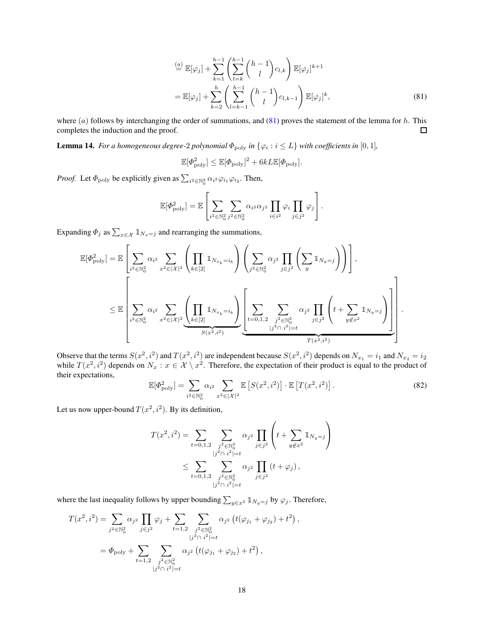$$
\stackrel{(a)}{=} \mathbb{E}[\varphi_j] + \sum_{k=1}^{h-1} \left( \sum_{l=k}^{h-1} {h-1 \choose l} c_{l,k} \right) \mathbb{E}[\varphi_j]^{k+1}
$$
\n
$$
= \mathbb{E}[\varphi_j] + \sum_{k=2}^{h} \left( \sum_{l=k-1}^{h-1} {h-1 \choose l} c_{l,k-1} \right) \mathbb{E}[\varphi_j]^k,
$$
\n(81)

where (*a*) follows by interchanging the order of summations, and [\(81\)](#page-17-1) proves the statement of the lemma for *h*. This completes the induction and the proof.  $\Box$ 

<span id="page-17-0"></span>**Lemma 14.** For a homogeneous degree-2 polynomial  $\Phi_{\text{poly}}$  in  $\{\varphi_i : i \leq L\}$  with coefficients in  $[0,1]$ ,

<span id="page-17-1"></span>
$$
\mathbb{E}[\Phi_{\text{poly}}^2] \leq \mathbb{E}[\Phi_{\text{poly}}]^2 + 6kL\mathbb{E}[\Phi_{\text{poly}}].
$$

*Proof.* Let  $\Phi_{\text{poly}}$  be explicitly given as  $\sum_{i^2 \in \mathbb{N}_0^2} \alpha_{i^2} \varphi_{i_1} \varphi_{i_2}$ . Then,

$$
\mathbb{E}[\Phi_{\text{poly}}^2] = \mathbb{E}\left[\sum_{i^2 \in \mathbb{N}_0^2} \sum_{j^2 \in \mathbb{N}_0^2} \alpha_{i^2} \alpha_{j^2} \prod_{i \in i^2} \varphi_i \prod_{j \in j^2} \varphi_j\right].
$$

Expanding  $\Phi_j$  as  $\sum_{x \in \mathcal{X}} \mathbb{1}_{N_x = j}$  and rearranging the summations,

$$
\mathbb{E}[\Phi_{\text{poly}}^2] = \mathbb{E}\left[\sum_{i^2 \in \mathbb{N}_0^2} \alpha_{i^2} \sum_{x^2 \in |\mathcal{X}|^2} \left( \prod_{k \in [2]} \mathbb{1}_{N_{x_k} = i_k} \right) \left( \sum_{j^2 \in \mathbb{N}_0^2} \alpha_{j^2} \prod_{j \in j^2} \left( \sum_y \mathbb{1}_{N_y = j} \right) \right) \right],
$$
  

$$
\leq \mathbb{E}\left[\sum_{i^2 \in \mathbb{N}_0^2} \alpha_{i^2} \sum_{x^2 \in |\mathcal{X}|^2} \underbrace{\left( \prod_{k \in [2]} \mathbb{1}_{N_{x_k} = i_k} \right)}_{S(x^2, i^2)} \underbrace{\left( \sum_{t = 0, 1, 2} \sum_{\substack{j^2 \in \mathbb{N}_0^2 \\ j^2 \cap i^2 \mid = t} \alpha_{j^2} \prod_{j \in j^2} \left( t + \sum_{y \notin x^2} \mathbb{1}_{N_y = j} \right) \right)}_{T(x^2, i^2)} \right].
$$

Observe that the terms  $S(x^2, i^2)$  and  $T(x^2, i^2)$  are independent because  $S(x^2, i^2)$  depends on  $N_{x_1} = i_1$  and  $N_{x_2} = i_2$ while  $T(x^2, i^2)$  depends on  $N_x : x \in \mathcal{X} \setminus x^2$ . Therefore, the expectation of their product is equal to the product of their expectations,

<span id="page-17-2"></span>
$$
\mathbb{E}[\Phi_{\text{poly}}^2] = \sum_{i^2 \in \mathbb{N}_0^2} \alpha_{i^2} \sum_{x^2 \in |\mathcal{X}|^2} \mathbb{E}\left[S(x^2, i^2)\right] \cdot \mathbb{E}\left[T(x^2, i^2)\right].
$$
 (82)

*,*

Let us now upper-bound  $T(x^2, i^2)$ . By its definition,

$$
T(x^2, i^2) = \sum_{t=0,1,2} \sum_{\substack{j^2 \in \mathbb{N}_0^2 \\ |j^2 \cap i^2| = t}} \alpha_{j^2} \prod_{j \in j^2} \left( t + \sum_{y \notin x^2} \mathbb{1}_{N_y = j} \right)
$$
  

$$
\leq \sum_{t=0,1,2} \sum_{\substack{j^2 \in \mathbb{N}_0^2 \\ |j^2 \cap i^2| = t}} \alpha_{j^2} \prod_{j \in j^2} \left( t + \varphi_j \right),
$$

where the last inequality follows by upper bounding  $\sum_{y \in x^2} \mathbb{1}_{N_y = j}$  by  $\varphi_j$ . Therefore,

$$
T(x^2, i^2) = \sum_{j^2 \in \mathbb{N}_0^2} \alpha_{j^2} \prod_{j \in j^2} \varphi_j + \sum_{t=1,2} \sum_{\substack{j^2 \in \mathbb{N}_0^2 \\ |j^2 \cap i^2| = t}} \alpha_{j^2} \left( t(\varphi_{j_1} + \varphi_{j_2}) + t^2 \right)
$$
  
=  $\Phi_{\text{poly}} + \sum_{t=1,2} \sum_{\substack{j^2 \in \mathbb{N}_0^2 \\ |j^2 \cap i^2| = t}} \alpha_{j^2} \left( t(\varphi_{j_1} + \varphi_{j_2}) + t^2 \right),$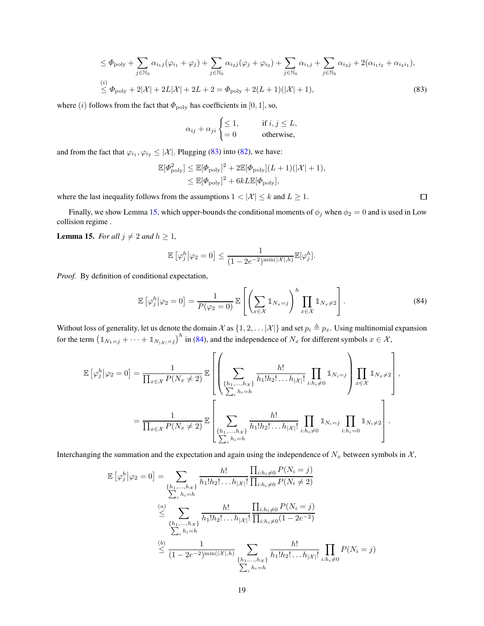$$
\leq \Phi_{\text{poly}} + \sum_{j \in \mathbb{N}_0} \alpha_{i_1 j} (\varphi_{i_1} + \varphi_j) + \sum_{j \in \mathbb{N}_0} \alpha_{i_2 j} (\varphi_j + \varphi_{i_2}) + \sum_{j \in \mathbb{N}_0} \alpha_{i_1 j} + \sum_{j \in \mathbb{N}_0} \alpha_{i_2 j} + 2(\alpha_{i_1 i_2} + \alpha_{i_2 i_1}),
$$
  
\n
$$
\leq \Phi_{\text{poly}} + 2|\mathcal{X}| + 2L|\mathcal{X}| + 2L + 2 = \Phi_{\text{poly}} + 2(L+1)(|\mathcal{X}|+1),
$$
\n(83)

where (*i*) follows from the fact that  $\Phi_{\text{poly}}$  has coefficients in [0, 1], so,

$$
\alpha_{ij} + \alpha_{ji} \begin{cases} \leq 1, & \text{if } i, j \leq L, \\ = 0 & \text{otherwise,} \end{cases}
$$

and from the fact that  $\varphi_{i_1}, \varphi_{i_2} \leq |\mathcal{X}|$ . Plugging [\(83\)](#page-18-1) into [\(82\)](#page-17-2), we have:

$$
\mathbb{E}[\Phi_{\text{poly}}^2] \leq \mathbb{E}[\Phi_{\text{poly}}]^2 + 2\mathbb{E}[\Phi_{\text{poly}}](L+1)(|\mathcal{X}|+1),
$$
  

$$
\leq \mathbb{E}[\Phi_{\text{poly}}]^2 + 6kL\mathbb{E}[\Phi_{\text{poly}}],
$$

where the last inequality follows from the assumptions  $1 < |\mathcal{X}| \leq k$  and  $L \geq 1$ .

Finally, we show Lemma [15,](#page-18-0) which upper-bounds the conditional moments of  $\phi_j$  when  $\phi_2 = 0$  and is used in Low collision regime .

<span id="page-18-0"></span>**Lemma 15.** *For all*  $j \neq 2$  *and*  $h \geq 1$ *,* 

$$
\mathbb{E}\left[\varphi_j^h \middle| \varphi_2 = 0\right] \le \frac{1}{(1 - 2e^{-2})^{\min(|\mathcal{X}|, h)}} \mathbb{E}[\varphi_j^h].
$$

*Proof.* By definition of conditional expectation,

<span id="page-18-2"></span>
$$
\mathbb{E}\left[\varphi_j^h\middle|\varphi_2=0\right] = \frac{1}{P(\varphi_2=0)}\mathbb{E}\left[\left(\sum_{x\in\mathcal{X}}\mathbb{1}_{N_x=j}\right)^h\prod_{x\in\mathcal{X}}\mathbb{1}_{N_x\neq2}\right].\tag{84}
$$

<span id="page-18-1"></span> $\Box$ 

Without loss of generality, let us denote the domain  $\mathcal X$  as  $\{1, 2, \ldots |X|\}$  and set  $p_i \triangleq p_x$ . Using multinomial expansion for the term  $(\mathbb{1}_{N_1=j} + \cdots + \mathbb{1}_{N_{|\mathcal{X}|=j}})^h$  in [\(84\)](#page-18-2), and the independence of  $N_x$  for different symbols  $x \in \mathcal{X}$ ,

$$
\mathbb{E}\left[\varphi_j^h\middle|\varphi_2=0\right] = \frac{1}{\prod_{x\in\mathcal{X}}P(N_x\neq 2)}\mathbb{E}\left[\left(\sum_{\substack{\{h_1,\ldots,h_{\mathcal{X}}\}\\ \sum_{i}h_i=h}}\frac{h!}{h_1!h_2!\ldots h_{|\mathcal{X}|}!}\prod_{i:h_i\neq 0}\mathbbm{1}_{N_i= j}\right)\prod_{x\in\mathcal{X}}\mathbbm{1}_{N_x\neq 2}\right],
$$

$$
=\frac{1}{\prod_{x\in\mathcal{X}}P(N_x\neq 2)}\mathbb{E}\left[\sum_{\substack{\{h_1,\ldots,h_{\mathcal{X}}\}\\ \sum_{i}h_i=h}}\frac{h!}{h_1!h_2!\ldots h_{|\mathcal{X}|}!}\prod_{i:h_i\neq 0}\mathbbm{1}_{N_i= j}\prod_{i:h_i=0}\mathbbm{1}_{N_i\neq 2}\right].
$$

Interchanging the summation and the expectation and again using the independence of  $N_x$  between symbols in  $\mathcal{X}$ ,

$$
\mathbb{E}\left[\varphi_{j}^{h}\middle|\varphi_{2}=0\right]=\sum_{\substack{\{h_{1},...,h_{\mathcal{X}}\} \\ \sum_{i}h_{i}=h}}\frac{h!}{h_{1}!h_{2}!\ldots h_{|\mathcal{X}|}!}\frac{\prod_{i:h_{i}\neq 0}P(N_{i}=j)}{\prod_{i:h_{i}\neq 0}P(N_{i}\neq 2)}
$$
\n
$$
\leq \sum_{\substack{\{h_{1},...,h_{\mathcal{X}}\} \\ \sum_{i}h_{i}=h}}\frac{h!}{h_{1}!h_{2}!\ldots h_{|\mathcal{X}|}!}\frac{\prod_{i:h_{i}\neq 0}P(N_{i}=j)}{\prod_{i:h_{i}\neq 0}(1-2e^{-2})}
$$
\n
$$
\leq \frac{1}{(1-2e^{-2})^{\min(|\mathcal{X}|,h)}}\sum_{\substack{\{h_{1},...,h_{\mathcal{X}}\} \\ \sum_{i}h_{i}=h}}\frac{h!}{h_{1}!h_{2}!\ldots h_{|\mathcal{X}|}!}\prod_{i:h_{i}\neq 0}P(N_{i}=j)
$$